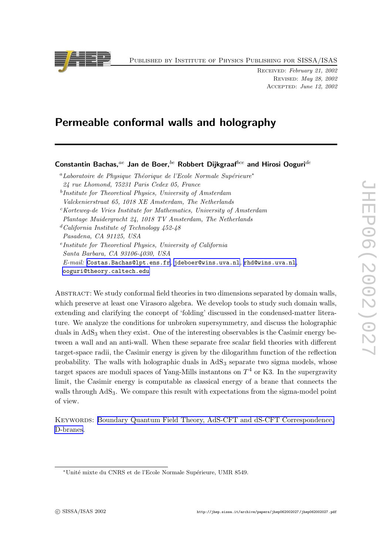Published by Institute of Physics Publishing for SISSA/ISAS

RECEIVED: February 21, 2002 Revised: May 28, 2002 Accepted: June 12, 2002

# Permeable conformal walls and holography

Constantin Bachas,  $ae$  Jan de Boer,  $be$  Robbert Dijkgraaf  $bce$  and Hirosi Ooguri $de$ 

<sup>a</sup>Laboratoire de Physique Théorique de l'Ecole Normale Supérieure<sup>\*</sup> 24 rue Lhomond, 75231 Paris Cedex 05, Franc e <sup>b</sup>Institute for Theoretical Physics, University of Amsterdam Valckenierstraat 65, 1018 XE Amsterdam, The Netherlands <sup>c</sup>Korteweg-de Vries Institute for Mathematics, University of Amsterdam Plantage Muidergracht 24, 1018 TV Amsterdam, The Netherlands  $d$  California Institute of Technology 452-48 Pasadena, CA 91125, USA e Institute for Theoretical Physics, University of California Santa Barbara, CA 93106-4030, USA  $E\text{-}mail: \texttt{Costas.Bachas@lpt.ens.fr}, \texttt{jdeboer@vins.uva.nl}, \texttt{rhd@vins.uva.nl},$  $E\text{-}mail: \texttt{Costas.Bachas@lpt.ens.fr}, \texttt{jdeboer@vins.uva.nl}, \texttt{rhd@vins.uva.nl},$  $E\text{-}mail: \texttt{Costas.Bachas@lpt.ens.fr}, \texttt{jdeboer@vins.uva.nl}, \texttt{rhd@vins.uva.nl},$ [ooguri@theory.caltech.edu](mailto:ooguri@theory.caltech.edu)

ABSTRACT: We study conformal field theories in two dimensions separated by domain walls, whic h preserv e at least one Virasoro algebra. We develop tools to study suc h domain walls, extending and clarifying the concept of 'folding' discussed in the condensed-matter literature. We analyze the conditions for unbroken supersymmetry, and discuss the holographic duals in AdS <sup>3</sup> when they exist. One of the interesting observables is the Casimir energy between a wall and an anti-wall. When these separate free scalar field theories with different target-space radii, the Casimir energy is given b y the dilogarithm function of the reflection probability. The walls with holographic duals in  $AdS_3$  separate two sigma models, whose target spaces are moduli spaces of Yang-Mills instantons on  $T^4$  or K3. In the supergravity limit, the Casimir energy is computable as classical energy of a brane that connects the walls through AdS<sub>3</sub>. We compare this result with expectations from the sigma-model point of view.

KEYWORDS: Boundary Quantum Field Theory, AdS-CFT and dS-CFT [Correspondence,](http://jhep.sissa.it/stdsearch?keywords=Boundary_Quantum_Field_Theory+AdS-CFT_and_dS-CFT_Correspondence+D-branes) [D-branes](http://jhep.sissa.it/stdsearch?keywords=Boundary_Quantum_Field_Theory+AdS-CFT_and_dS-CFT_Correspondence+D-branes) .



<sup>\*</sup>Unité mixte du CNRS et de l'Ecole Normale Supérieure, UMR 8549.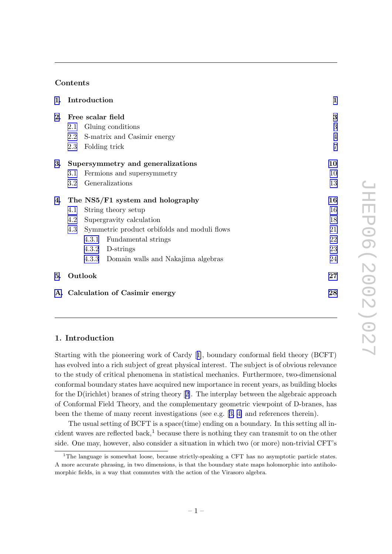# Contents

|    | 1. Introduction                   |                                              |                                          | $\mathbf{1}$   |
|----|-----------------------------------|----------------------------------------------|------------------------------------------|----------------|
| 2. | Free scalar field                 |                                              |                                          | 3              |
|    | 2.1                               |                                              | Gluing conditions                        | 3              |
|    | 2.2                               |                                              | S-matrix and Casimir energy              | $\overline{4}$ |
|    | 2.3                               |                                              | Folding trick                            | $\overline{7}$ |
| 3. | Supersymmetry and generalizations |                                              |                                          | 10             |
|    | 3.1                               |                                              | Fermions and supersymmetry               | 10             |
|    | $3.2\,$                           |                                              | Generalizations                          | 13             |
| 4. | The NS5/F1 system and holography  |                                              |                                          | 16             |
|    | 4.1                               | String theory setup                          | 16                                       |                |
|    | 4.2<br>Supergravity calculation   |                                              |                                          | 18             |
|    | 4.3                               | Symmetric product orbifolds and moduli flows |                                          | 21             |
|    |                                   | 4.3.1                                        | Fundamental strings                      | 22             |
|    |                                   | 4.3.2                                        | D-strings                                | 23             |
|    |                                   |                                              | 4.3.3 Domain walls and Nakajima algebras | 24             |
| 5. |                                   | Outlook                                      |                                          | 27             |
|    | A. Calculation of Casimir energy  |                                              |                                          | 28             |

# 1. Introduction

Starting with the pioneering work of Cardy [[1\]](#page-30-0), boundary conformal field theory (BCFT) has evolved into a rich subject of great physical interest. The subject is of obvious relevance to the study of critical phenomena in statistical mechanics. Furthermore, t wo-dimensional conformal boundary states have acquired new importance in recent years, as building blocks for the D(irichlet) branes of string theory [[2\]](#page-30-0). The interplay bet ween the algebraic approac h of Conformal Field Theory , and the complementary geometric viewpoin t of D-branes, has been the theme of many recent investigations (see e.g. [[3](#page-30-0), [4](#page-30-0)] and references therein).

The usual setting of BCFT is a space(time) ending on a boundary . In this setting all incident waves are reflected back,<sup>1</sup> because there is nothing they can transmit to on the other side. One may , ho wever, also consider a situation in whic h t w o (or more) non-trivial CFT's

<sup>1</sup>The language is somewhat loose, because strictly-speaking a CFT has no asymptotic particle states. A more accurate phrasing, in t w o dimensions, is that the boundary state maps holomorphic into antiholomorphic fields, in a way that commutes with the action of the Virasoro algebra.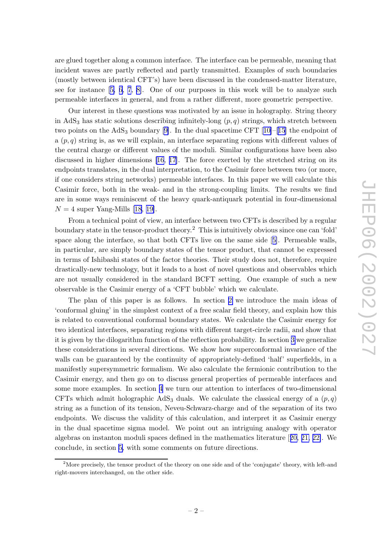are glued together along a common interface. The interface can b e permeable, meaning that inciden t w aves are partly reflected and partly transmitted. Examples of suc h boundaries (mostly bet ween identical CFT's) hav e been discussed in the condensed-matter literature, see for instance [[5](#page-30-0), [6](#page-31-0), [7](#page-31-0), [8\]](#page-31-0). One of our purposes in this work will be to analyze such permeable interfaces in general, and from a rather different, more geometric perspective.

Our interest in these questions was motivated b y an issue in holograph y . String theory in AdS<sub>3</sub> has static solutions describing infinitely-long  $(p, q)$  strings, which stretch between two points on the AdS<sub>3</sub> boundary [\[9\]](#page-31-0). In the dual spacetime CFT [[10\]](#page-31-0)–[[15](#page-31-0)] the endpoint of a  $(p, q)$  string is, as we will explain, an interface separating regions with different values of the central charge or differen t values of the moduli. Similar configurations hav e been also discussed in higher dimensions [\[16](#page-31-0), [17](#page-31-0)]. The force exerted by the stretched string on its endpoints translates, in the dual interpretation, to the Casimir force between two (or more, if one considers string net works) permeable interfaces. In this paper w e will calculate this Casimir force, both in the weak- and in the strong-coupling limits. The results w e find are in some w ays reminiscen t of the heavy quark-antiquark potential in four-dimensional  $N = 4$  super Yang-Mills [\[18](#page-31-0), [19\]](#page-31-0).

From a technical point of view, an interface between two CFTs is described by a regular boundary state in the tensor-product theory.<sup>2</sup> This is intuitively obvious since one can 'fold' space along the interface, so that both CFTs liv e on the same side [[5\]](#page-30-0). Permeable walls, in particular, are simply boundary states of the tensor product, that cannot b e expressed in terms of Ishibashi states of the factor theories. Their study does not, therefore, require drastically-new technology, but it leads to a host of novel questions and observables which are not usually considered in the standard BCFT setting. One example of suc h a new observable is the Casimir energy of a 'CFT bubble' whic h w e calculate.

The plan of this paper is as follows. In section [2](#page-3-0) w e introduce the main ideas of 'conformal gluing' in the simplest context of a free scalar field theory , and explain ho w this is related to con ventional conformal boundary states. We calculate the Casimir energy for t w o identical interfaces, separating regions with differen t target-circle radii, and sho w that it is given by the dilogarithm function of the reflection probability. In section [3](#page-10-0) we generalize these considerations in several directions. We sho w ho w superconformal in variance of the walls can be guaranteed by the continuity of appropriately-defined 'half' superfields, in a manifestly supersymmetric formalism. We also calculate the fermionic contribution to the Casimir energy , and then go on to discuss general properties of permeable interfaces and some more examples. In section [4](#page-16-0) w e turn our attention to interfaces of t wo-dimensional CFTs which admit holographic  $AdS_3$  duals. We calculate the classical energy of a  $(p, q)$ string as a function of its tension, Neveu-Schwarz-charge and of the separation of its two endpoints. We discuss the validit y of this calculation, and interpret it as Casimir energy in the dual spacetime sigma model. We poin t out an intriguing analogy with operator algebras on instanton moduli spaces defined in the mathematics literature [[20](#page-31-0) , [21](#page-31-0) , [22\]](#page-31-0). We conclude, in section [5](#page-27-0) , with some comments on future directions.

<sup>&</sup>lt;sup>2</sup>More precisely, the tensor product of the theory on one side and of the 'conjugate' theory, with left-and right-mo vers interchanged, on the other side.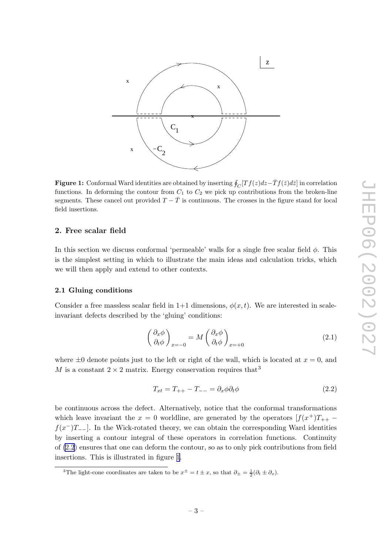<span id="page-3-0"></span>

**Figure 1:** Conformal Ward identities are obtained by inserting  $\oint_C [Tf(z)dz - \bar{T}f(\bar{z})d\bar{z}]$  in correlation functions. In deforming the contour from  $C_1$  to  $C_2$  we pick up contributions from the broken-line segments. These cancel out provided  $T - \bar{T}$  is continuous. The crosses in the figure stand for local field insertions.

# 2. Free scalar field

In this section we discuss conformal 'permeable' walls for a single free scalar field  $\phi$ . This is the simplest setting in whic h to illustrate the main ideas and calculation tricks, whic h w e will then apply and extend to other contexts.

#### 2.1 Gluing conditions

Consider a free massless scalar field in  $1+1$  dimensions,  $\phi(x,t)$ . We are interested in scaleinvariant defects described by the 'gluing' conditions:

$$
\left(\frac{\partial_x \phi}{\partial_t \phi}\right)_{x=-0} = M \left(\frac{\partial_x \phi}{\partial_t \phi}\right)_{x=-0}
$$
\n(2.1)

where  $\pm 0$  denote points just to the left or right of the wall, which is located at  $x = 0$ , and M is a constant  $2 \times 2$  matrix. Energy conservation requires that<sup>3</sup>

$$
T_{xt} = T_{++} - T_{--} = \partial_x \phi \partial_t \phi \tag{2.2}
$$

b e continuous across the defect. Alternatively , notice that the conformal transformations which leave invariant the  $x = 0$  worldline, are generated by the operators  $[f(x^+)T_{++}$  $f(x^-)T_{--}$ . In the Wick-rotated theory, we can obtain the corresponding Ward identities by inserting a contour integral of these operators in correlation functions. Continuity of (2.2 ) ensures that one can deform the contour, so as to only pic k contributions from field insertions. This is illustrated in figure 1 .

<sup>&</sup>lt;sup>3</sup>The light-cone coordinates are taken to be  $x^{\pm} = t \pm x$ , so that  $\partial_{\pm} = \frac{1}{2}(\partial_t \pm \partial_x)$ .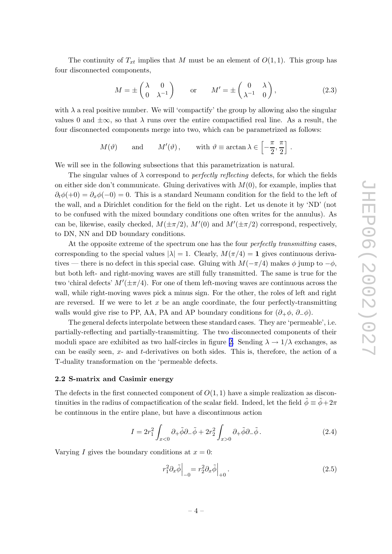<span id="page-4-0"></span>The continuity of  $T_{xt}$  implies that M must be an element of  $O(1,1)$ . This group has four disconnected components,

$$
M = \pm \begin{pmatrix} \lambda & 0 \\ 0 & \lambda^{-1} \end{pmatrix} \quad \text{or} \quad M' = \pm \begin{pmatrix} 0 & \lambda \\ \lambda^{-1} & 0 \end{pmatrix}, \tag{2.3}
$$

with  $\lambda$  a real positive number. We will 'compactify' the group by allowing also the singular values 0 and  $\pm \infty$ , so that  $\lambda$  runs over the entire compactified real line. As a result, the four disconnected components merge into t wo, whic h can b e parametrized as follows:

$$
M(\theta)
$$
 and  $M'(\theta)$ , with  $\theta \equiv \arctan \lambda \in \left[-\frac{\pi}{2}, \frac{\pi}{2}\right]$ .

We will see in the following subsections that this parametrization is natural.

The singular values of  $\lambda$  correspond to *perfectly reflecting* defects, for which the fields on either side don't communicate. Gluing derivatives with  $M(0)$ , for example, implies that  $\partial_t \phi(+0) = \partial_x \phi(-0) = 0$ . This is a standard Neumann condition for the field to the left of the wall, and a Dirichlet condition for the field on the right. Let us denote it b y 'ND' (not to b e confused with the mixed boundary conditions one often writes for the annulus). As can be, likewise, easily checked,  $M(\pm \pi/2)$ ,  $M'(0)$  and  $M'(\pm \pi/2)$  correspond, respectively, to DN, NN and DD boundary conditions.

At the opposite extreme of the spectrum one has the four *perfectly transmitting* cases, corresponding to the special values  $|\lambda| = 1$ . Clearly,  $M(\pi/4) = 1$  gives continuous derivatives — there is no defect in this special case. Gluing with  $M(-\pi/4)$  makes  $\phi$  jump to  $-\phi$ , but both left- and right-moving w aves are still fully transmitted. The same is true for the two 'chiral defects'  $M'(\pm \pi/4)$ . For one of them left-moving waves are continuous across the wall, while right-moving waves pick a minus sign. For the other, the roles of left and right are reversed. If we were to let  $x$  be an angle coordinate, the four perfectly-transmitting walls would give rise to PP, AA, PA and AP boundary conditions for  $(\partial_+\phi, \partial_-\phi)$ .

The general defects interpolate bet ween these standard cases. They are 'permeable', i.e. partially-reflecting and partially-transmitting. The t w o disconnected components of their moduli space are exhibited as two half-circles in figure [2](#page-5-0). Sending  $\lambda \to 1/\lambda$  exchanges, as can b e easily seen, x - and t-derivatives on both sides. This is, therefore, the action of a T-dualit y transformation on the 'permeable defects.

## 2.2 S-matrix and Casimir energy

The defects in the first connected component of  $O(1,1)$  have a simple realization as discontinuities in the radius of compactification of the scalar field. Indeed, let the field  $\tilde{\phi} \equiv \tilde{\phi} + 2\pi$ be continuous in the entire plane, but have a discontinuous action

$$
I = 2r_1^2 \int_{x<0} \partial_+ \tilde{\phi} \partial_- \tilde{\phi} + 2r_2^2 \int_{x>0} \partial_+ \tilde{\phi} \partial_- \tilde{\phi}.
$$
 (2.4)

Varying  $I$  gives the boundary conditions at  $x = 0$ :

$$
r_1^2 \partial_x \tilde{\phi} \Big|_{-0} = r_2^2 \partial_x \tilde{\phi} \Big|_{+0} \,. \tag{2.5}
$$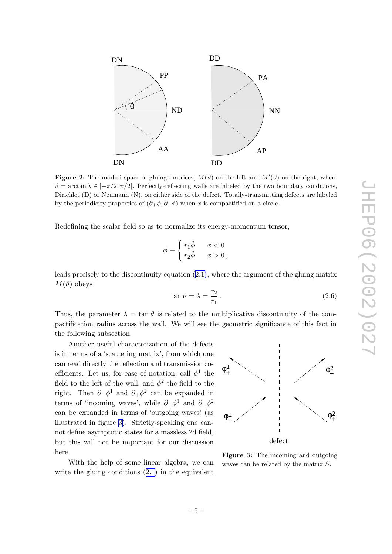<span id="page-5-0"></span>

Figure 2: The moduli space of gluing matrices,  $M(\vartheta)$  on the left and  $M'(\vartheta)$  on the right, where  $\vartheta = \arctan \lambda \in [-\pi/2, \pi/2]$ . Perfectly-reflecting walls are labeled by the two boundary conditions, Dirichlet (D) or Neumann (N), on either side of the defect. Totally-transmitting defects are labeled by the periodicity properties of  $(\partial_+\phi, \partial_-\phi)$  when x is compactified on a circle.

Redefining the scalar field so as to normalize its energy-momentum tensor,

$$
\phi \equiv \begin{cases} r_1 \tilde{\phi} & x < 0 \\ r_2 \tilde{\phi} & x > 0 \end{cases}
$$

leads precisely to the discontinuity equation  $(2.1)$  $(2.1)$ , where the argument of the gluing matrix  $M(\vartheta)$  obeys

$$
\tan \vartheta = \lambda = \frac{r_2}{r_1}.
$$
\n(2.6)

Thus, the parameter  $\lambda = \tan \vartheta$  is related to the multiplicative discontinuity of the compactification radius across the wall. We will see the geometric significance of this fact in the following subsection.

Another useful characterization of the defects is in terms of a 'scattering matrix', from whic h one can read directly the reflection and transmission coefficients. Let us, for ease of notation, call  $\phi^1$  the field to the left of the wall, and  $\phi^2$  the field to the right. Then  $\partial_-\phi^1$  and  $\partial_+\phi^2$  can be expanded in terms of 'incoming waves', while  $\partial_+\phi^1$  and  $\partial_-\phi^2$ can b e expanded in terms of 'outgoing w aves' (as illustrated in figure 3). Strictly-speaking one cannot define asymptotic states for a massless 2d field, but this will not b e importan t for our discussion here.

With the help of some linear algebra, w e can write the gluing conditions  $(2.1)$  $(2.1)$  $(2.1)$  in the equivalent



Figure 3: The incoming and outgoing waves can be related by the matrix S.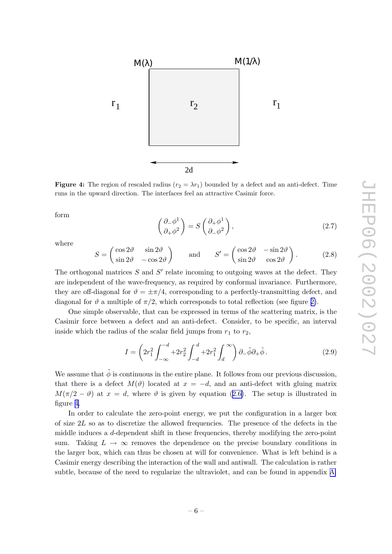<span id="page-6-0"></span>

**Figure 4:** The region of rescaled radius ( $r_2 = \lambda r_1$ ) bounded by a defect and an anti-defect. Time runs in the up ward direction. The interfaces feel an attractiv e Casimir force.

form

$$
\begin{pmatrix} \partial_- \phi^1 \\ \partial_+ \phi^2 \end{pmatrix} = S \begin{pmatrix} \partial_+ \phi^1 \\ \partial_- \phi^2 \end{pmatrix},
$$
\n(2.7)

where

$$
S = \begin{pmatrix} \cos 2\vartheta & \sin 2\vartheta \\ \sin 2\vartheta & -\cos 2\vartheta \end{pmatrix} \quad \text{and} \quad S' = \begin{pmatrix} \cos 2\vartheta & -\sin 2\vartheta \\ \sin 2\vartheta & \cos 2\vartheta \end{pmatrix}.
$$
 (2.8)

The orthogonal matrices  $S$  and  $S'$  relate incoming to outgoing waves at the defect. They are independen t of the w ave-frequency , as required b y conformal in variance. Furthermore, they are off-diagonal for  $\vartheta = \pm \pi/4$ , corresponding to a perfectly-transmitting defect, and diagonal for  $\vartheta$  a multiple of  $\pi/2$ , which corresponds to total reflection (see figure [2\)](#page-5-0).

One simple observable, that can b e expressed in terms of the scattering matrix, is the Casimir force bet ween a defect and an anti-defect. Consider, to b e specific, an interval inside which the radius of the scalar field jumps from  $r_1$  to  $r_2$ ,

$$
I = \left(2r_1^2 \int_{-\infty}^{-d} + 2r_2^2 \int_{-d}^{d} + 2r_1^2 \int_{d}^{\infty}\right) \partial_- \tilde{\phi} \partial_+ \tilde{\phi} \,. \tag{2.9}
$$

We assume that  $\tilde{\phi}$  is continuous in the entire plane. It follows from our previous discussion, that there is a defect  $M(\vartheta)$  located at  $x = -d$ , and an anti-defect with gluing matrix  $M(\pi/2 - \vartheta)$  at  $x = d$ , where  $\vartheta$  is given by equation ([2.6\)](#page-5-0). The setup is illustrated in figure 4 .

In order to calculate the zero-point energy, we put the configuration in a larger box of size 2 L so as to discretize the allo wed frequencies. The presence of the defects in the middle induces a *d*-dependent shift in these frequencies, thereby modifying the zero-point sum. Taking  $L \to \infty$  removes the dependence on the precise boundary conditions in the larger b ox, whic h can thus b e chosen at will for con venience. What is left behind is a Casimir energy describing the interaction of the wall and antiwall. The calculation is rather subtle, because of the need to regularize the ultraviolet, and can be found in appendix [A](#page-28-0).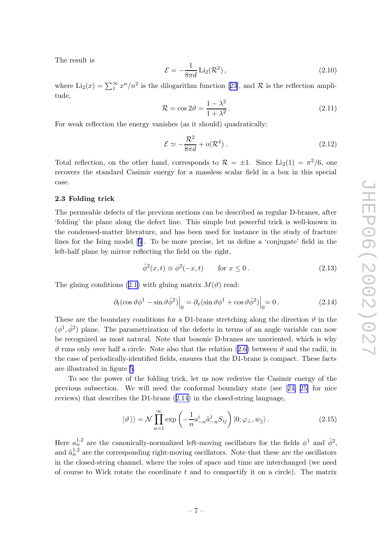<span id="page-7-0"></span>The result is

$$
\mathcal{E} = -\frac{1}{8\pi d} \operatorname{Li}_2(\mathcal{R}^2),\tag{2.10}
$$

where  $Li_2(x) = \sum_{1}^{\infty} x^n/n^2$  is the dilogarithm function [[23\]](#page-31-0), and R is the reflection amplitude,

$$
\mathcal{R} = \cos 2\vartheta = \frac{1 - \lambda^2}{1 + \lambda^2}.
$$
\n(2.11)

For weak reflection the energy vanishes (as it should) quadratically:

$$
\mathcal{E} \simeq -\frac{\mathcal{R}^2}{8\pi d} + o(\mathcal{R}^4) \ . \tag{2.12}
$$

Total reflection, on the other hand, corresponds to  $\mathcal{R} = \pm 1$ . Since Li<sub>2</sub>(1) =  $\pi^2/6$ , one recovers the standard Casimir energy for a massless scalar field in a box in this special case.

## 2.3 Folding tric k

The permeable defects of the previous sections can b e described as regular D-branes, after 'folding' the plane along the defect line. This simple but powerful trick is well-known in the condensed-matter literature, and has been used for instance in the study of fracture lines for the Ising model [[5\]](#page-30-0). To b e more precise, let us define a 'conjugate' field in the left-half plane b y mirror reflecting the field on the right,

$$
\hat{\phi}^2(x,t) \equiv \phi^2(-x,t) \qquad \text{for } x \le 0. \tag{2.13}
$$

The gluing conditions ([2.1](#page-3-0)) with gluing matrix  $M(\vartheta)$  read:

$$
\left. \partial_t (\cos \vartheta \phi^1 - \sin \vartheta \hat{\phi}^2) \right|_0 = \left. \partial_x (\sin \vartheta \phi^1 + \cos \vartheta \hat{\phi}^2) \right|_0 = 0. \tag{2.14}
$$

These are the boundary conditions for a D1-brane stretching along the direction  $\vartheta$  in the  $(\phi^1, \hat{\phi}^2)$  plane. The parametrization of the defects in terms of an angle variable can now be recognized as most natural. Note that bosonic D-branes are unoriented, which is why  $\vartheta$  runs only over half a circle. Note also that the relation ([2.6](#page-5-0)) between  $\vartheta$  and the radii, in the case of periodically-identified fields, ensures that the D1-brane is compact. These facts are illustrated in figure [5](#page-8-0) .

To see the p o wer of the folding trick, let us no w rederiv e the Casimir energy of the previous subsection. We will need the conformal boundary state (see [[24](#page-31-0) , [25](#page-31-0) ] for nice reviews) that describes the D1-brane (2.14 ) in the closed-string language,

$$
|\vartheta\rangle\rangle = \mathcal{N} \prod_{n=1}^{\infty} \exp\left(-\frac{1}{n} a_{-n}^{i} \tilde{a}_{-n}^{j} S_{ij}\right) |0; \varphi_{\perp}, w_{\parallel}\rangle. \tag{2.15}
$$

Here  $a_n^{1,2}$  are the canonically-normalized left-moving oscillators for the fields  $\phi^1$  and  $\hat{\phi}^2$ , and  $\tilde{a}_n^{1,2}$  are the corresponding right-moving oscillators. Note that these are the oscillators in the closed-string channel, where the roles of space and time are interchanged (w e need of course to Wic k rotate the coordinate t and to compactify it on a circle). The matrix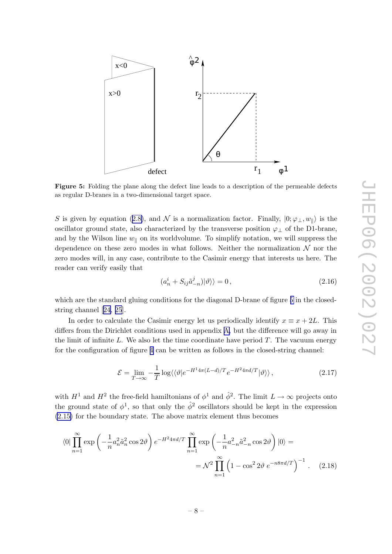<span id="page-8-0"></span>

Figure 5: Folding the plane along the defect line leads to a description of the permeable defects as regular D-branes in a t wo-dimensional target space.

S is given by equation ([2.8\)](#page-6-0), and N is a normalization factor. Finally,  $|0; \varphi_{\perp}, w_{\parallel}\rangle$  is the oscillator ground state, also characterized by the transverse position  $\varphi_{\perp}$  of the D1-brane, and by the Wilson line  $w_{\parallel}$  on its worldvolume. To simplify notation, we will suppress the dependence on these zero modes in what follows. Neither the normalization  $\mathcal N$  nor the zero modes will, in an y case, contribute to the Casimir energy that interests us here. The reader can verify easily that

$$
(a_n^i + S_{ij}\tilde{a}_{-n}^j)|\vartheta\rangle\rangle = 0, \qquad (2.16)
$$

which are the standard gluing conditions for the diagonal D-brane of figure 5 in the closedstring channel [[24,](#page-31-0) [25](#page-31-0)].

In order to calculate the Casimir energy let us periodically identify  $x \equiv x + 2L$ . This differs from the Dirichlet conditions used in appendix [A](#page-28-0), but the difference will go away in the limit of infinite L. We also let the time coordinate have period  $T$ . The vacuum energy for the configuration of figure [4](#page-6-0) can b e written as follows in the closed-string channel:

$$
\mathcal{E} = \lim_{T \to \infty} -\frac{1}{T} \log \langle \langle \vartheta | e^{-H^1 4\pi (L - d)/T} e^{-H^2 4\pi d/T} | \vartheta \rangle \rangle, \qquad (2.17)
$$

with  $H^1$  and  $H^2$  the free-field hamiltonians of  $\phi^1$  and  $\hat{\phi}^2$ . The limit  $L \to \infty$  projects onto the ground state of  $\phi^1$ , so that only the  $\hat{\phi}^2$  oscillators should be kept in the expression [\(2.15](#page-7-0) ) for the boundary state. The ab o v e matrix elemen t thus becomes

$$
\langle 0|\prod_{n=1}^{\infty} \exp\left(-\frac{1}{n}a_n^2\tilde{a}_n^2\cos 2\vartheta\right)e^{-H^2 4\pi d/T} \prod_{n=1}^{\infty} \exp\left(-\frac{1}{n}a_{-n}^2\tilde{a}_{-n}^2\cos 2\vartheta\right)|0\rangle =
$$
  

$$
= \mathcal{N}^2 \prod_{n=1}^{\infty} \left(1 - \cos^2 2\vartheta \ e^{-n8\pi d/T}\right)^{-1} . \quad (2.18)
$$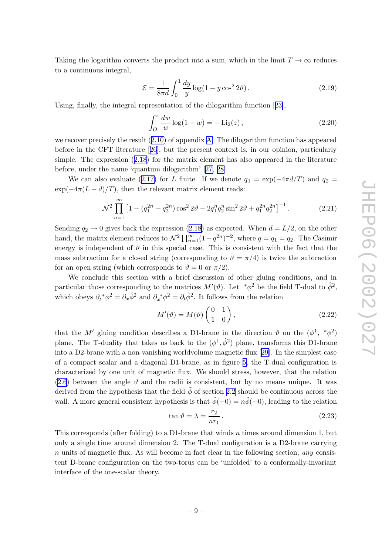Taking the logarithm converts the product into a sum, which in the limit  $T \to \infty$  reduces to a continuous integral,

$$
\mathcal{E} = \frac{1}{8\pi d} \int_0^1 \frac{dy}{y} \log(1 - y \cos^2 2\vartheta). \tag{2.19}
$$

Using, finally , the integral representation of the dilogarithm function [[23\]](#page-31-0),

$$
\int_{O}^{z} \frac{dw}{w} \log(1 - w) = -\text{Li}_2(z),\tag{2.20}
$$

w e reco ver precisely the result ([2.10](#page-7-0) ) of appendix [A](#page-28-0) . The dilogarithm function has appeared before in the CFT literature [[26](#page-31-0)], but the presen t context is, in our opinion, particularly simple. The expression ([2.18](#page-8-0) ) for the matrix elemen t has also appeared in the literature before, under the name 'quantum dilogarithm' [[27](#page-32-0) , [28\]](#page-32-0).

We can also evaluate ([2.17](#page-8-0)) for L finite. If we denote  $q_1 = \exp(-4\pi d/T)$  and  $q_2 =$  $\exp(-4\pi(L-d)/T)$ , then the relevant matrix element reads:

$$
\mathcal{N}^2 \prod_{n=1}^{\infty} \left[ 1 - \left( q_1^{2n} + q_2^{2n} \right) \cos^2 2\vartheta - 2q_1^n q_2^n \sin^2 2\vartheta + q_1^{2n} q_2^{2n} \right]^{-1} . \tag{2.21}
$$

Sending  $q_2 \to 0$  gives back the expression ([2.18](#page-8-0)) as expected. When  $d = L/2$ , on the other hand, the matrix element reduces to  $\mathcal{N}^2 \prod_{n=1}^{\infty} (1 - q^{2n})^{-2}$ , where  $q = q_1 = q_2$ . The Casimir energy is independent of  $\vartheta$  in this special case. This is consistent with the fact that the mass subtraction for a closed string (corresponding to  $\vartheta = \pi/4$ ) is twice the subtraction for an open string (which corresponds to  $\vartheta = 0$  or  $\pi/2$ ).

We conclude this section with a brief discussion of other gluing conditions, and in particular those corresponding to the matrices  $M'(\vartheta)$ . Let  $\pi^*\phi^2$  be the field T-dual to  $\hat{\phi}^2$ , which obeys  $\partial_t^* \phi^2 = \partial_x \hat{\phi}^2$  and  $\partial_x^* \phi^2 = \partial_t \hat{\phi}^2$ . It follows from the relation

$$
M'(\vartheta) = M(\vartheta) \begin{pmatrix} 0 & 1 \\ 1 & 0 \end{pmatrix}, \tag{2.22}
$$

that the M' gluing condition describes a D1-brane in the direction  $\vartheta$  on the  $(\phi^1, *_{\phi^2})$ plane. The T-duality that takes us back to the  $(\phi^1, \hat{\phi}^2)$  plane, transforms this D1-brane into a D2-brane with a non-vanishing worldvolume magnetic flux [[29\]](#page-32-0). In the simplest case of a compact scalar and a diagonal D1-brane, as in figure [5](#page-8-0) , the T-dual configuration is characterized b y one unit of magnetic flux. We should stress, ho wever, that the relation [\(2.6](#page-5-0)) between the angle  $\vartheta$  and the radii is consistent, but by no means unique. It was derived from the hypothesis that the field  $\tilde{\phi}$  of section [2.2](#page-4-0) should be continuous across the wall. A more general consistent hypothesis is that  $\tilde{\phi}(-0) = n\tilde{\phi}(+0)$ , leading to the relation

$$
\tan \vartheta = \lambda = \frac{r_2}{nr_1} \,. \tag{2.23}
$$

This corresponds (after folding) to a D1-brane that winds  $n$  times around dimension 1, but only a single time around dimension 2. The T-dual configuration is a D2-brane carrying n units of magnetic flux. As will become in fact clear in the following section, any consistent D-brane configuration on the two-torus can be 'unfolded' to a conformally-invariant interface of the one-scalar theory .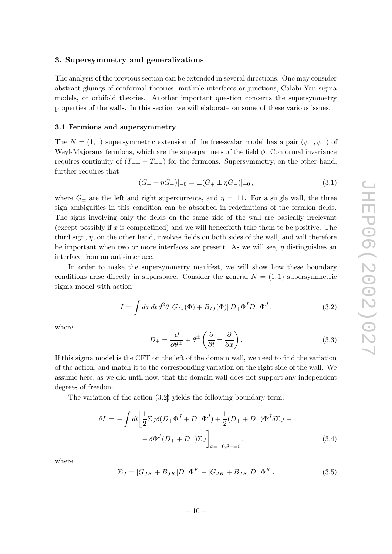# <span id="page-10-0"></span>3. Supersymmetry and generalizations

The analysis of the previous section can b e extended in several directions. One may consider abstract gluings of conformal theories, mutliple interfaces or junctions, Calabi-Yau sigma models, or orbifold theories. Another importan t question concerns the supersymmetry properties of the walls. In this section w e will elaborate on some of these various issues.

## 3.1 Fermions and supersymmetry

The  $N = (1, 1)$  supersymmetric extension of the free-scalar model has a pair  $(\psi_+, \psi_-)$  of Weyl-Majorana fermions, which are the superpartners of the field  $\phi$ . Conformal invariance requires continuity of  $(T_{++} - T_{--})$  for the fermions. Supersymmetry, on the other hand, further requires that

$$
(G_{+} + \eta G_{-})|_{-0} = \pm (G_{+} \pm \eta G_{-})|_{+0}, \qquad (3.1)
$$

where  $G_{\pm}$  are the left and right supercurrents, and  $\eta = \pm 1$ . For a single wall, the three sign ambiguities in this condition can b e absorbed in redefinitions of the fermion fields. The signs in volving only the fields on the same side of the wall are basically irrelevan t (except possibly if  $x$  is compactified) and we will henceforth take them to be positive. The third sign,  $\eta$ , on the other hand, involves fields on both sides of the wall, and will therefore be important when two or more interfaces are present. As we will see,  $\eta$  distinguishes an interface from an anti-interface.

In order to make the supersymmetry manifest, we will show how these boundary conditions arise directly in superspace. Consider the general  $N = (1, 1)$  supersymmetric sigma model with action

$$
I = \int dx \, dt \, d^2\theta \left[ G_{IJ}(\Phi) + B_{IJ}(\Phi) \right] D_+ \Phi^I D_- \Phi^J , \qquad (3.2)
$$

where

$$
D_{\pm} = \frac{\partial}{\partial \theta^{\pm}} + \theta^{\pm} \left( \frac{\partial}{\partial t} \pm \frac{\partial}{\partial x} \right). \tag{3.3}
$$

If this sigma model is the CFT on the left of the domain wall, w e need to find the variation of the action, and match it to the corresponding variation on the right side of the wall. We assume here, as w e did until now, that the domain wall does not support an y independen t degrees of freedom.

The variation of the action (3.2 ) yields the following boundary term:

$$
\delta I = -\int dt \left[ \frac{1}{2} \Sigma_J \delta (D_+ \Phi^J + D_- \Phi^J) + \frac{1}{2} (D_+ + D_-) \Phi^J \delta \Sigma_J - \delta \Phi^J (D_+ + D_-) \Sigma_J \right]_{x = -0, \theta = 0},
$$
\n(3.4)

where

$$
\Sigma_J = [G_{JK} + B_{JK}]D_+\Phi^K - [G_{JK} + B_{JK}]D_-\Phi^K.
$$
\n(3.5)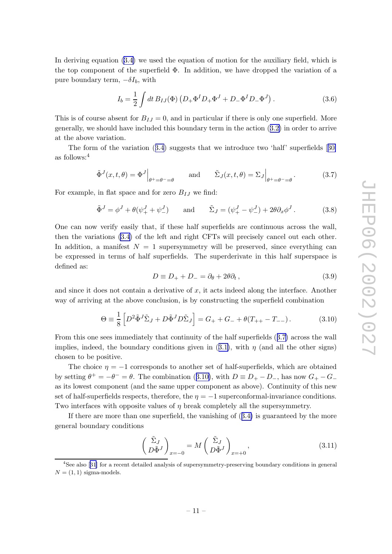<span id="page-11-0"></span>In deriving equation  $(3.4)$  $(3.4)$  we used the equation of motion for the auxiliary field, which is the top component of the superfield  $\Phi$ . In addition, we have dropped the variation of a pure boundary term,  $-\delta I_b$ , with

$$
I_b = \frac{1}{2} \int dt B_{IJ}(\Phi) \left( D_+ \Phi^I D_+ \Phi^J + D_- \Phi^I D_- \Phi^J \right). \tag{3.6}
$$

This is of course absent for  $B_{IJ} = 0$ , and in particular if there is only one superfield. More generally , w e should hav e included this boundary term in the action ([3.2](#page-10-0) ) in order to arriv e at the ab o v e variation.

The form of the variation  $(3.4)$  $(3.4)$  $(3.4)$  suggests that we introduce two 'half' superfields [[30](#page-32-0)] as follows: 4

$$
\tilde{\Phi}^{J}(x,t,\theta) = \Phi^{J}\Big|_{\theta^{+}=\theta^{-}=\theta} \quad \text{and} \quad \tilde{\Sigma}_{J}(x,t,\theta) = \Sigma_{J}\Big|_{\theta^{+}=\theta^{-}=\theta}.
$$
 (3.7)

For example, in flat space and for zero  $B_{IJ}$  we find:

$$
\tilde{\Phi}^J = \phi^J + \theta(\psi_+^J + \psi_-^J) \quad \text{and} \quad \tilde{\Sigma}_J = (\psi_+^J - \psi_-^J) + 2\theta \partial_x \phi^J. \tag{3.8}
$$

One can no w verify easily that, if these half superfields are continuous across the wall, then the variations [\(3.4](#page-10-0) ) of the left and righ t CFTs will precisely cancel out eac h other. In addition, a manifest  $N = 1$  supersymmetry will be preserved, since everything can b e expressed in terms of half superfields. The superderivate in this half superspace is defined as:

$$
D \equiv D_+ + D_- = \partial_\theta + 2\theta \partial_t, \qquad (3.9)
$$

and since it does not contain a derivative of  $x$ , it acts indeed along the interface. Another way of arriving at the above conclusion, is by constructing the superfield combination

$$
\Theta \equiv \frac{1}{8} \left[ D^2 \tilde{\Phi}^J \tilde{\Sigma}_J + D \tilde{\Phi}^J D \tilde{\Sigma}_J \right] = G_+ + G_- + \theta (T_{++} - T_{--}). \tag{3.10}
$$

From this one sees immediately that continuity of the half superfields  $(3.7)$  across the wall implies, indeed, the boundary conditions given in  $(3.1)$  $(3.1)$ , with  $\eta$  (and all the other signs) chosen to b e positive.

The choice  $\eta = -1$  corresponds to another set of half-superfields, which are obtained by setting  $\theta^+ = -\theta^- = \theta$ . The combination (3.10), with  $D \equiv D_+ - D_-$ , has now  $G_+ - G_$ as its lowest component (and the same upper component as above). Continuity of this new set of half-superfields respects, therefore, the  $\eta = -1$  superconformal-invariance conditions. Two interfaces with opposite values of  $\eta$  break completely all the supersymmetry.

If there are more than one superfield, the vanishing of  $(3.4)$  $(3.4)$  $(3.4)$  is guaranteed by the more general boundary conditions

$$
\left(\frac{\tilde{\Sigma}_J}{D\tilde{\Phi}^J}\right)_{x=-0} = M\left(\frac{\tilde{\Sigma}_J}{D\tilde{\Phi}^J}\right)_{x=+0},\tag{3.11}
$$

<sup>&</sup>lt;sup>4</sup>See also [[31](#page-32-0)] for a recent detailed analysis of supersymmetry-preserving boundary conditions in general  $N = (1, 1)$  sigma-models.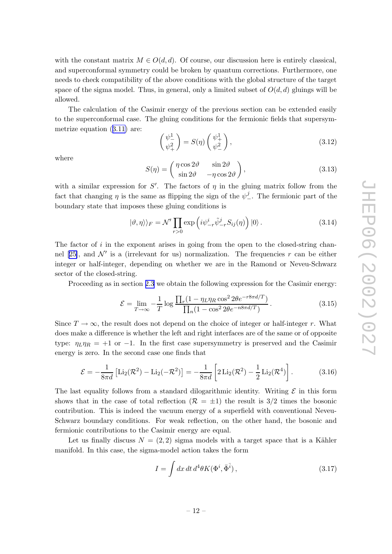with the constant matrix  $M \in O(d, d)$ . Of course, our discussion here is entirely classical, and superconformal symmetry could b e broken b y quantum corrections. Furthermore, one needs to check compatibility of the above conditions with the global structure of the target space of the sigma model. Thus, in general, only a limited subset of  $O(d, d)$  gluings will be allo wed.

The calculation of the Casimir energy of the previous section can b e extended easily to the superconformal case. The gluing conditions for the fermionic fields that supersymmetrize equation ([3.11\)](#page-11-0) are:

$$
\begin{pmatrix} \psi_-^1\\ \psi_+^2 \end{pmatrix} = S(\eta) \begin{pmatrix} \psi_+^1\\ \psi_-^2 \end{pmatrix},\tag{3.12}
$$

where

$$
S(\eta) = \begin{pmatrix} \eta \cos 2\vartheta & \sin 2\vartheta \\ \sin 2\vartheta & -\eta \cos 2\vartheta \end{pmatrix},
$$
\n(3.13)

with a similar expression for S'. The factors of  $\eta$  in the gluing matrix follow from the fact that changing  $\eta$  is the same as flipping the sign of the  $\psi_-^j$  $\frac{J}{\cdot}$ . The fermionic part of the boundary state that imposes these gluing conditions is

$$
|\vartheta,\eta\rangle\rangle_F = \mathcal{N}' \prod_{r>0} \exp\left(i\psi^i_{-r}\tilde{\psi}^j_{-r}S_{ij}(\eta)\right)|0\rangle. \tag{3.14}
$$

The factor of  $i$  in the exponent arises in going from the open to the closed-string chan-nel [[25\]](#page-31-0), and  $\mathcal{N}'$  is a (irrelevant for us) normalization. The frequencies r can be either integer or half-integer, depending on whether w e are in the Ramond or Neveu-Sc h warz sector of the closed-string.

Proceeding as in section [2.3](#page-7-0) we obtain the following expression for the Casimir energy:

$$
\mathcal{E} = \lim_{T \to \infty} -\frac{1}{T} \log \frac{\prod_r (1 - \eta_L \eta_R \cos^2 2\theta e^{-r8\pi d/T})}{\prod_n (1 - \cos^2 2\theta e^{-n8\pi d/T})}.
$$
(3.15)

Since  $T \to \infty$ , the result does not depend on the choice of integer or half-integer r. What does mak e a difference is whether the left and righ t interfaces are of the same or of opposite type:  $\eta_L \eta_R = +1$  or  $-1$ . In the first case supersymmetry is preserved and the Casimir energy is zero. In the second case one finds that

$$
\mathcal{E} = -\frac{1}{8\pi d} \left[ \text{Li}_2(\mathcal{R}^2) - \text{Li}_2(-\mathcal{R}^2) \right] = -\frac{1}{8\pi d} \left[ 2 \text{Li}_2(\mathcal{R}^2) - \frac{1}{2} \text{Li}_2(\mathcal{R}^4) \right].
$$
 (3.16)

The last equality follows from a standard dilogarithmic identity. Writing  $\mathcal E$  in this form shows that in the case of total reflection  $(R = \pm 1)$  the result is 3/2 times the bosonic contribution. This is indeed the vacuum energy of a superfield with con ventional Neveu-Schwarz boundary conditions. For weak reflection, on the other hand, the bosonic and fermionic contributions to the Casimir energy are equal.

Let us finally discuss  $N = (2, 2)$  sigma models with a target space that is a Kähler manifold. In this case, the sigma-model action takes the form

$$
I = \int dx dt d^4\theta K(\Phi^i, \bar{\Phi}^{\bar{i}}), \qquad (3.17)
$$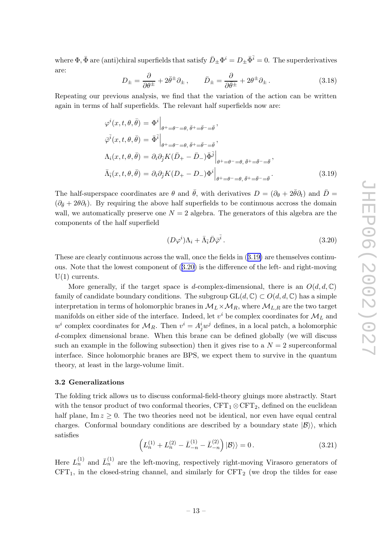<span id="page-13-0"></span>where  $\Phi$ ,  $\bar{\Phi}$  are (anti)chiral superfields that satisfy  $\bar{D}_{\pm} \Phi^i = D_{\pm} \bar{\Phi}^{\bar{i}} = 0$ . The superderivatives are:

$$
D_{\pm} = \frac{\partial}{\partial \theta^{\pm}} + 2\bar{\theta}^{\pm} \partial_{\pm} , \qquad \bar{D}_{\pm} = \frac{\partial}{\partial \bar{\theta}^{\pm}} + 2\theta^{\pm} \partial_{\pm} . \tag{3.18}
$$

Repeating our previous analysis, w e find that the variation of the action can b e written again in terms of half superfields. The relevan t half superfields no w are:

$$
\varphi^{i}(x, t, \theta, \bar{\theta}) = \Phi^{i} \Big|_{\theta^{+} = \theta^{-} = \theta, \ \bar{\theta}^{+} = \bar{\theta}^{-} = \bar{\theta}},
$$
  
\n
$$
\bar{\varphi}^{\bar{i}}(x, t, \theta, \bar{\theta}) = \bar{\Phi}^{\bar{i}} \Big|_{\theta^{+} = \theta^{-} = \theta, \ \bar{\theta}^{+} = \bar{\theta}^{-} = \bar{\theta}},
$$
  
\n
$$
\Lambda_{i}(x, t, \theta, \bar{\theta}) = \partial_{i} \partial_{\bar{j}} K(\bar{D}_{+} - \bar{D}_{-}) \bar{\Phi}^{\bar{j}} \Big|_{\theta^{+} = \theta^{-} = \theta, \ \bar{\theta}^{+} = \bar{\theta}^{-} = \bar{\theta}},
$$
  
\n
$$
\bar{\Lambda}_{\bar{i}}(x, t, \theta, \bar{\theta}) = \partial_{i} \partial_{\bar{j}} K(D_{+} - D_{-}) \Phi^{i} \Big|_{\theta^{+} = \theta^{-} = \theta, \ \bar{\theta}^{+} = \bar{\theta}^{-} = \bar{\theta}}.
$$
\n(3.19)

The half-superspace coordinates are  $\theta$  and  $\bar{\theta}$ , with derivatives  $D = (\partial_{\theta} + 2\bar{\theta}\partial_t)$  and  $\bar{D} =$  $(\partial_{\bar{\theta}} + 2\theta \partial_t)$ . By requiring the above half superfields to be continuous accross the domain wall, we automatically preserve one  $N=2$  algebra. The generators of this algebra are the components of the half superfield

$$
(D\varphi^i)\Lambda_i + \bar{\Lambda}_{\bar{i}}\bar{D}\bar{\varphi}^{\bar{i}}\,. \tag{3.20}
$$

These are clearly continuous across the wall, once the fields in (3.19 ) are themselves continuous. Note that the lowest component of (3.20) is the difference of the left- and right-moving  $U(1)$  currents.

More generally, if the target space is d-complex-dimensional, there is an  $O(d, d, \mathbb{C})$ family of candidate boundary conditions. The subgroup  $GL(d, \mathbb{C}) \subset O(d, d, \mathbb{C})$  has a simple interpretation in terms of holomorphic branes in  $\mathcal{M}_L \times \mathcal{M}_R$ , where  $\mathcal{M}_{L,R}$  are the two target manifolds on either side of the interface. Indeed, let  $v^i$  be complex coordinates for  $\mathcal{M}_L$  and  $w^i$  complex coordinates for  $\mathcal{M}_R$ . Then  $v^i = A_j^i w^j$  defines, in a local patch, a holomorphic d-complex dimensional brane. When this brane can b e defined globally (w e will discuss such an example in the following subsection) then it gives rise to a  $N=2$  superconformal interface. Since holomorphic branes are BPS, w e expect them to surviv e in the quantum theory , at least in the large-volume limit.

## 3.2 Generalizations

The folding tric k allows us to discuss conformal-field-theory gluings more abstractly . Start with the tensor product of two conformal theories,  $CFT_1 \otimes CFT_2$ , defined on the euclidean half plane,  $\text{Im } z \geq 0$ . The two theories need not be identical, nor even have equal central charges. Conformal boundary conditions are described by a boundary state  $|\mathcal{B}\rangle$ , which satisfies

$$
\left(L_n^{(1)} + L_n^{(2)} - \bar{L}_{-n}^{(1)} - \bar{L}_{-n}^{(2)}\right)|\mathcal{B}\rangle = 0.
$$
\n(3.21)

Here  $L_n^{(1)}$  and  $\bar{L}_n^{(1)}$  are the left-moving, respectively right-moving Virasoro generators of  $CFT<sub>1</sub>$ , in the closed-string channel, and similarly for  $CFT<sub>2</sub>$  (we drop the tildes for ease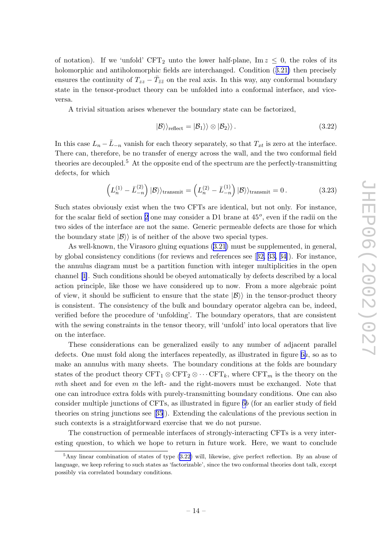of notation). If we 'unfold'  $CFT_2$  unto the lower half-plane,  $Im z \leq 0$ , the roles of its holomorphic and antiholomorphic fields are interchanged. Condition  $(3.21)$  $(3.21)$  $(3.21)$  then precisely ensures the continuity of  $T_{zz} - \bar{T}_{\bar{z}\bar{z}}$  on the real axis. In this way, any conformal boundary state in the tensor-product theory can b e unfolded into a conformal interface, and vice-

versa.<br>A trivial situation arises whenever the boundary state can be factorized,

$$
|B\rangle\rangle_{\text{reflect}} = |B_1\rangle\rangle \otimes |B_2\rangle\rangle. \tag{3.22}
$$

In this case  $L_n - \bar{L}_{-n}$  vanish for each theory separately, so that  $T_{xt}$  is zero at the interface. There can, therefore, b e no transfer of energy across the wall, and the t w o conformal field theories are decoupled. 5 A t the opposite end of the spectrum are the perfectly-transmitting defects, for whic h

$$
\left(L_n^{(1)} - \bar{L}_{-n}^{(2)}\right)|\mathcal{B}\rangle\rangle_{\text{transmit}} = \left(L_n^{(2)} - \bar{L}_{-n}^{(1)}\right)|\mathcal{B}\rangle\rangle_{\text{transmit}} = 0. \tag{3.23}
$$

Such states obviously exist when the two CFTs are identical, but not only. For instance, for the scalar field of section [2](#page-3-0) one may consider a D1 brane at  $45^o$ , even if the radii on the t w o sides of the interface are not the same. Generic permeable defects are those for whic h the boundary state  $|B\rangle\rangle$  is of neither of the above two special types.

As well-known, the Virasoro gluing equations ([3.21](#page-13-0) ) must b e supplemented, in general, b y global consistency conditions (for reviews and references see [[32](#page-32-0) , [33](#page-32-0) , [34\]](#page-32-0)). For instance, the annulus diagram must b e a partition function with integer multiplicities in the open channel [\[1\]](#page-30-0). Such conditions should be obeyed automatically by defects described by a local action principle, lik e those w e hav e considered up to now. From a more algebraic poin t of view, it should be sufficient to ensure that the state  $|\mathcal{B}\rangle\rangle$  in the tensor-product theory is consistent. The consistency of the bulk and boundary operator algebra can be, indeed, verified before the procedure of 'unfolding'. The boundary operators, that are consisten t with the sewing constraints in the tensor theory, will 'unfold' into local operators that live on the interface.

These considerations can b e generalized easily to an y num ber of adjacen t parallel defects. One must fold along the interfaces repeatedly, as illustrated in figure [6](#page-15-0)a, so as to mak e an annulus with man y sheets. The boundary conditions at the folds are boundary states of the product theory  $CFT_1 \otimes CFT_2 \otimes \cdots CFT_k$ , where  $CFT_m$  is the theory on the mth sheet and for even  $m$  the left- and the right-movers must be exchanged. Note that one can introduce extra folds with purely-transmitting boundary conditions. One can also consider multiple junctions of CFTs, as illustrated in figure [6](#page-15-0) b (for an earlier study of field theories on string junctions see [[35](#page-32-0)]). Extending the calculations of the previous section in suc h contexts is a straightforward exercise that w e do not pursue.

The construction of permeable interfaces of strongly-interacting CFTs is a very interesting question, to which we hope to return in future work. Here, we want to conclude

<sup>5</sup>Any linear combination of states of type (3.22) will, likewise, give perfect reflection. By an abuse of language, w e keep refering to suc h states as 'factorizable', since the t w o conformal theories don t talk, except possibly via correlated boundary conditions.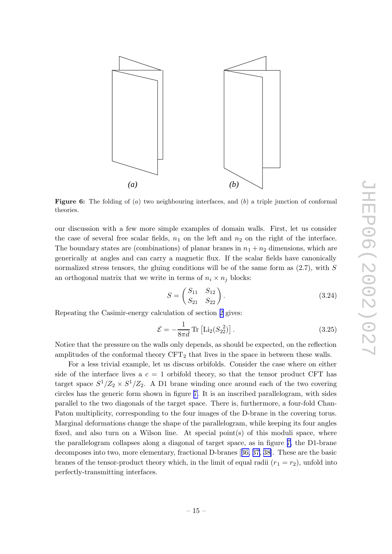<span id="page-15-0"></span>

**Figure 6:** The folding of  $(a)$  two neighbouring interfaces, and  $(b)$  a triple junction of conformal theories.

our discussion with a few more simple examples of domain walls. First, let us consider the case of several free scalar fields,  $n_1$  on the left and  $n_2$  on the right of the interface. The boundary states are (combinations) of planar branes in  $n_1 + n_2$  dimensions, which are generically at angles and can carry a magnetic flux. If the scalar fields have canonically normalized stress tensors, the gluing conditions will be of the same form as  $(2.7)$ , with S an orthogonal matrix that we write in terms of  $n_i \times n_j$  blocks:

$$
S = \begin{pmatrix} S_{11} & S_{12} \\ S_{21} & S_{22} \end{pmatrix} . \tag{3.24}
$$

Repeating the Casimir-energy calculation of section [2](#page-3-0) gives:

$$
\mathcal{E} = -\frac{1}{8\pi d} \text{Tr} \left[ \text{Li}_2(S_{22}^2) \right]. \tag{3.25}
$$

Notice that the pressure on the walls only depends, as should be expected, on the reflection amplitudes of the conformal theory  $CFT_2$  that lives in the space in between these walls.

For a less trivial example, let us discuss orbifolds. Consider the case where on either side of the interface lives a  $c = 1$  orbifold theory, so that the tensor product CFT has target space  $S^1/Z_2 \times S^1/Z_2$ . A D1 brane winding once around each of the two covering circles has the generic form shown in figure [7.](#page-16-0) It is an inscribed parallelogram, with sides parallel to the two diagonals of the target space. There is, furthermore, a four-fold Chan-Paton multiplicity, corresponding to the four images of the D-brane in the covering torus. Marginal deformations change the shape of the parallelogram, while keeping its four angles fixed, and also turn on a Wilson line. At special point $(s)$  of this moduli space, where the parallelogram collapses along a diagonal of target space, as in figure [7,](#page-16-0) the D1-brane decomposes into two, more elementary, fractional D-branes [[36,](#page-32-0) [37,](#page-32-0) [38\]](#page-32-0). These are the basic branes of the tensor-product theory which, in the limit of equal radii  $(r_1 = r_2)$ , unfold into perfectly-transmitting interfaces.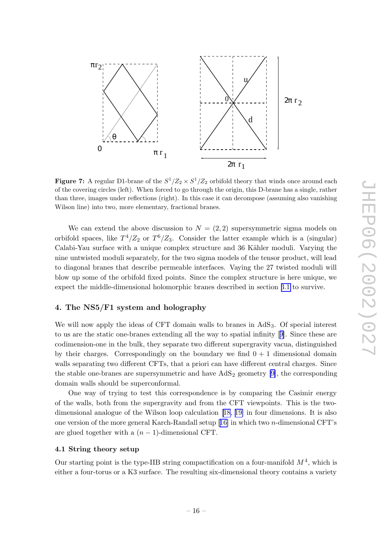<span id="page-16-0"></span>

**Figure 7:** A regular D1-brane of the  $S^1/Z_2 \times S^1/Z_2$  orbifold theory that winds once around each of the co vering circles (left). When forced to go through the origin, this D-brane has a single, rather than three, images under reflections (right). In this case it can decompose (assuming also vanishing Wilson line) into t wo, more elementary , fractional branes.

We can extend the above discussion to  $N = (2, 2)$  supersymmetric sigma models on orbifold spaces, like  $T^4/Z_2$  or  $T^6/Z_3$ . Consider the latter example which is a (singular) Calabi-Yau surface with a unique complex structure and 36 Kähler moduli. Varying the nine un twisted moduli separately , for the t w o sigma models of the tensor product, will lead to diagonal branes that describ e permeable interfaces. Vaying the 27 twisted moduli will blow up some of the orbifold fixed points. Since the complex structure is here unique, we expect the middle-dimensional holomorphic branes described in section [3.1](#page-10-0) to survive.

# 4. The NS5/F1 system and holograph y

We will now apply the ideas of CFT domain walls to branes in  $AdS_3$ . Of special interest to us are the static one-branes extending all the way to spatial infinity [[9\]](#page-31-0). Since these are codimension-one in the bulk, they separate t w o differen t supergravit y vacua, distinguished by their charges. Correspondingly on the boundary we find  $0+1$  dimensional domain walls separating two different CFTs, that a priori can have different central charges. Since the stable one-branes are supersymmetric and hav e AdS <sup>2</sup> geometry [\[9\]](#page-31-0), the corresponding domain walls should b e superconformal.

One w ay of trying to test this correspondence is b y comparing the Casimir energy of the walls, both from the supergravit y and from the CFT viewpoints. This is the t wodimensional analogue of the Wilson loop calculation [[18,](#page-31-0) [19\]](#page-31-0) in four dimensions. It is also one version of the more general Karch-Randall setup [[16](#page-31-0) ] in whic h t w o n-dimensional CFT's are glued together with a  $(n-1)$ -dimensional CFT.

# 4.1 String theory setup

Our starting point is the type-IIB string compactification on a four-manifold  $M^4$ , which is either a four-torus or a K3 surface. The resulting six-dimensional theory contains a variety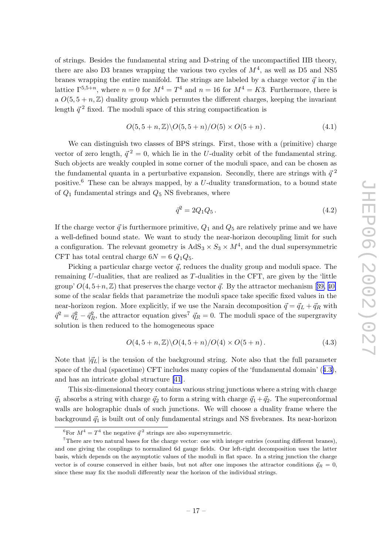of strings. Besides the fundamental string and D-string of the uncompactified IIB theory , there are also D3 branes wrapping the various two cycles of  $M^4$ , as well as D5 and NS5 branes wrapping the entire manifold. The strings are labeled by a charge vector  $\vec{q}$  in the lattice  $\Gamma^{5,5+n}$ , where  $n=0$  for  $M^4=T^4$  and  $n=16$  for  $M^4=K3$ . Furthermore, there is a  $O(5, 5 + n, \mathbb{Z})$  duality group which permutes the different charges, keeping the invariant length  $\vec{q}^2$  fixed. The moduli space of this string compactification is

$$
O(5, 5 + n, \mathbb{Z}) \setminus O(5, 5 + n) / O(5) \times O(5 + n). \tag{4.1}
$$

We can distinguish two classes of BPS strings. First, those with a (primitive) charge vector of zero length,  $\vec{q}^2 = 0$ , which lie in the U-duality orbit of the fundamental string. Such objects are weakly coupled in some corner of the moduli space, and can be chosen as the fundamental quanta in a perturbative expansion. Secondly, there are strings with  $\vec{q}^2$ positive.<sup>6</sup> These can be always mapped, by a U-duality transformation, to a bound state of  $Q_1$  fundamental strings and  $Q_5$  NS fivebranes, where

$$
\bar{q}^2 = 2Q_1 Q_5 \,. \tag{4.2}
$$

If the charge vector  $\vec{q}$  is furthermore primitive,  $Q_1$  and  $Q_5$  are relatively prime and we have a well-defined bound state. We wan t to study the near-horizon decoupling limit for suc h a configuration. The relevant geometry is  $AdS_3 \times S_3 \times M^4$ , and the dual supersymmetric CFT has total central charge  $6N = 6Q_1Q_5$ .

Picking a particular charge vector  $\vec{q}$ , reduces the duality group and moduli space. The remaining U-dualities, that are realized as T-dualities in the CFT, are given by the 'little group'  $O(4, 5+n, \mathbb{Z})$  that preserves the charge vector  $\vec{q}$ . By the attractor mechanism [[39](#page-32-0), [40](#page-32-0)] some of the scalar fields that parametrize the moduli space tak e specific fixed values in the near-horizon region. More explicitly, if we use the Narain decomposition  $\vec{q} = \vec{q}_L + \vec{q}_R$  with  $\vec{q}^2 = \vec{q}_L^2 - \vec{q}_R^2$ , the attractor equation gives<sup>7</sup>  $\vec{q}_R = 0$ . The moduli space of the supergravity solution is then reduced to the homogeneous space

$$
O(4, 5 + n, \mathbb{Z}) \setminus O(4, 5 + n) / O(4) \times O(5 + n). \tag{4.3}
$$

Note that  $|\vec{q}_L|$  is the tension of the background string. Note also that the full parameter space of the dual (spacetime) CFT includes man y copies of the 'fundamental domain' (4.3), and has an intricate global structure [\[41](#page-32-0)].

This six-dimensional theory contains various string junctions where a string with charge  $\vec{q}_1$  absorbs a string with charge  $\vec{q}_2$  to form a string with charge  $\vec{q}_1 + \vec{q}_2$ . The superconformal walls are holographic duals of such junctions. We will choose a duality frame where the background  $\vec{q}_1$  is built out of only fundamental strings and NS fivebranes. Its near-horizon

<sup>&</sup>lt;sup>6</sup>For  $M^4 = T^4$  the negative  $\vec{q}^2$  strings are also supersymmetric.

<sup>&</sup>lt;sup>7</sup>There are two natural bases for the charge vector: one with integer entries (counting different branes), and one giving the couplings to normalized 6d gauge fields. Our left-righ t decomposition uses the latter basis, whic h depends on the asymptotic values of the moduli in flat space. In a string junction the charge vector is of course conserved in either basis, but not after one imposes the attractor conditions  $\vec{q}_R = 0$ , since these may fix the moduli differently near the horizon of the individual strings.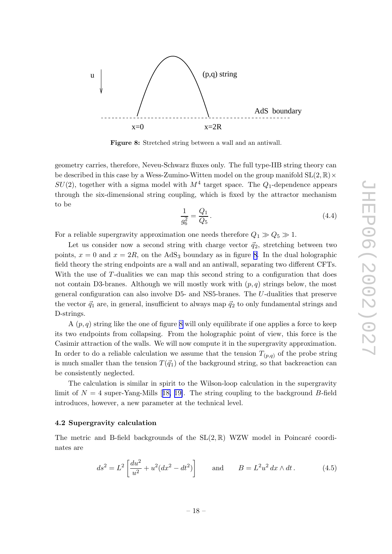<span id="page-18-0"></span>

Figure 8: Stretched string bet ween a wall and an antiwall.

geometry carries, therefore, Neveu-Sc h warz fluxes only . The full type-IIB string theory can be described in this case by a Wess-Zumino-Witten model on the group manifold  $\text{SL}(2,\mathbb{R})\times$  $SU(2)$ , together with a sigma model with  $M^4$  target space. The  $Q_1$ -dependence appears through the six-dimensional string coupling, whic h is fixed b y the attractor mechanism to b e

$$
\frac{1}{g_6^2} = \frac{Q_1}{Q_5}.
$$
\n(4.4)

For a reliable supergravity approximation one needs therefore  $Q_1 \gg Q_5 \gg 1$ .

Let us consider now a second string with charge vector  $\vec{q}_2$ , stretching between two points,  $x = 0$  and  $x = 2R$ , on the AdS<sub>3</sub> boundary as in figure 8. In the dual holographic field theory the string endpoints are a wall and an antiwall, separating two different CFTs. With the use of T-dualities we can map this second string to a configuration that does not contain D3-branes. Although we will mostly work with  $(p, q)$  strings below, the most general configuration can also in volv e D5- and NS5-branes. The U-dualities that preserv e the vector  $\vec{q}_1$  are, in general, insufficient to always map  $\vec{q}_2$  to only fundamental strings and D-strings.

A  $(p, q)$  string like the one of figure 8 will only equilibrate if one applies a force to keep its t w o endpoints from collapsing. From the holographic poin t of view, this force is the Casimir attraction of the walls. We will no w compute it in the supergravit y approximation. In order to do a reliable calculation we assume that the tension  $T_{(p,q)}$  of the probe string is much smaller than the tension  $T(\vec{q}_1)$  of the background string, so that backreaction can b e consistently neglected.

The calculation is similar in spirit to the Wilson-loop calculation in the supergravity limit of  $N = 4$  super-Yang-Mills [[18](#page-31-0), [19\]](#page-31-0). The string coupling to the background B-field introduces, ho wever, a new parameter at the technical level.

## 4.2 Supergravit y calculation

The metric and B-field backgrounds of the  $SL(2,\mathbb{R})$  WZW model in Poincaré coordinates are

$$
ds^{2} = L^{2} \left[ \frac{du^{2}}{u^{2}} + u^{2} (dx^{2} - dt^{2}) \right] \quad \text{and} \quad B = L^{2} u^{2} dx \wedge dt \,. \tag{4.5}
$$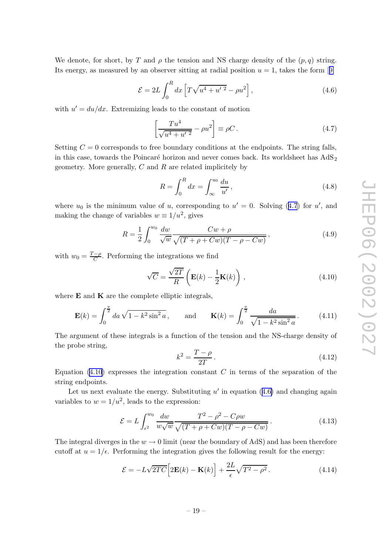<span id="page-19-0"></span>We denote, for short, by T and  $\rho$  the tension and NS charge density of the  $(p, q)$  string. Its energy, as measured by an observer sitting at radial position  $u = 1$ , takes the form [[9](#page-31-0)]

$$
\mathcal{E} = 2L \int_0^R dx \left[ T \sqrt{u^4 + u'^2} - \rho u^2 \right],
$$
\n(4.6)

with  $u' = du/dx$ . Extremizing leads to the constant of motion

$$
\left[\frac{T u^4}{\sqrt{u^4 + u'^2}} - \rho u^2\right] \equiv \rho C. \tag{4.7}
$$

Setting  $C = 0$  corresponds to free boundary conditions at the endpoints. The string falls, in this case, towards the Poincaré horizon and never comes back. Its worldsheet has  $AdS_2$ geometry. More generally,  $C$  and  $R$  are related implicitely by

$$
R = \int_0^R dx = \int_{\infty}^{u_0} \frac{du}{u'},
$$
\n(4.8)

where  $u_0$  is the minimum value of u, corresponding to  $u' = 0$ . Solving (4.7) for u', and making the change of variables  $w \equiv 1/u^2$ , gives

$$
R = \frac{1}{2} \int_0^{w_0} \frac{dw}{\sqrt{w}} \frac{Cw + \rho}{\sqrt{(T + \rho + Cw)(T - \rho - Cw)}},
$$
\n(4.9)

with  $w_0 = \frac{T-\rho}{C}$  $\frac{-\rho}{C}$ . Performing the integrations we find

$$
\sqrt{C} = \frac{\sqrt{2T}}{R} \left( \mathbf{E}(k) - \frac{1}{2} \mathbf{K}(k) \right), \qquad (4.10)
$$

where  $E$  and  $K$  are the complete elliptic integrals,

$$
\mathbf{E}(k) = \int_0^{\frac{\pi}{2}} da \sqrt{1 - k^2 \sin^2 a}, \quad \text{and} \quad \mathbf{K}(k) = \int_0^{\frac{\pi}{2}} \frac{da}{\sqrt{1 - k^2 \sin^2 a}}. \quad (4.11)
$$

The argument of these integrals is a function of the tension and the NS-charge density of the prob e string,

$$
k^2 = \frac{T - \rho}{2T} \,. \tag{4.12}
$$

Equation  $(4.10)$  expresses the integration constant C in terms of the separation of the string endpoints.

Let us next evaluate the energy. Substituting  $u'$  in equation  $(4.6)$  and changing again variables to  $w = 1/u^2$ , leads to the expression:

$$
\mathcal{E} = L \int_{\epsilon^2}^{w_0} \frac{dw}{w\sqrt{w}} \frac{T^2 - \rho^2 - C\rho w}{\sqrt{(T + \rho + Cw)(T - \rho - Cw)}}.
$$
\n(4.13)

The integral diverges in the  $w \to 0$  limit (near the boundary of AdS) and has been therefore cutoff at  $u = 1/\epsilon$ . Performing the integration gives the following result for the energy:

$$
\mathcal{E} = -L\sqrt{2TC} \Big[ 2\mathbf{E}(k) - \mathbf{K}(k) \Big] + \frac{2L}{\epsilon} \sqrt{T^2 - \rho^2} \,. \tag{4.14}
$$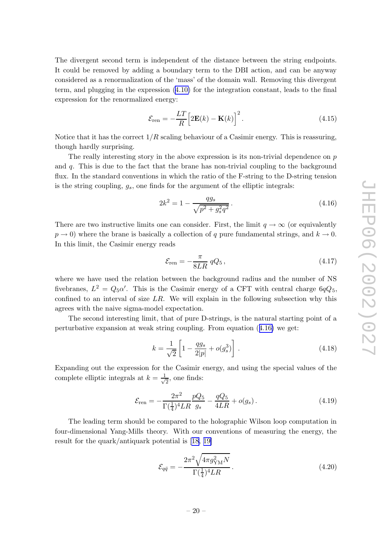<span id="page-20-0"></span>The divergen t second term is independen t of the distance bet ween the string endpoints. It could be removed by adding a boundary term to the DBI action, and can be anyway considered as a renormalization of the 'mass' of the domain wall. Removing this divergen t term, and plugging in the expression [\(4.10](#page-19-0) ) for the integration constant, leads to the final expression for the renormalized energy:

$$
\mathcal{E}_{\text{ren}} = -\frac{LT}{R} \Big[ 2\mathbf{E}(k) - \mathbf{K}(k) \Big]^2.
$$
 (4.15)

Notice that it has the correct  $1/R$  scaling behaviour of a Casimir energy. This is reassuring, though hardly surprising.

The really interesting story in the above expression is its non-trivial dependence on  $p$ and q . This is due to the fact that the brane has non-trivial coupling to the background flux. In the standard conventions in which the ratio of the F-string to the D-string tension is the string coupling,  $g_s$ , one finds for the argument of the elliptic integrals:

$$
2k^2 = 1 - \frac{qg_s}{\sqrt{p^2 + g_s^2 q^2}}.
$$
\n(4.16)

There are two instructive limits one can consider. First, the limit  $q \to \infty$  (or equivalently  $p \to 0$ ) where the brane is basically a collection of q pure fundamental strings, and  $k \to 0$ . In this limit, the Casimir energy reads

$$
\mathcal{E}_{\rm ren} = -\frac{\pi}{8LR} \, qQ_5 \,, \tag{4.17}
$$

where we have used the relation between the background radius and the number of NS fivebranes,  $L^2 = Q_5 \alpha'$ . This is the Casimir energy of a CFT with central charge  $6qQ_5$ , confined to an interval of size  $LR$ . We will explain in the following subsection why this agrees with the naiv e sigma-model expectation.

The second interesting limit, that of pure D-strings, is the natural starting point of a perturbative expansion at weak string coupling. From equation  $(4.16)$  we get:

$$
k = \frac{1}{\sqrt{2}} \left[ 1 - \frac{q g_s}{2|p|} + o(g_s^3) \right].
$$
 (4.18)

Expanding out the expression for the Casimir energy , and using the special values of the complete elliptic integrals at  $k = \frac{1}{\sqrt{2}}$ , one finds:

$$
\mathcal{E}_{\text{ren}} = -\frac{2\pi^2}{\Gamma(\frac{1}{4})^4 L R} \frac{pQ_5}{g_s} - \frac{qQ_5}{4LR} + o(g_s). \tag{4.19}
$$

The leading term should b e compared to the holographic Wilson loop computation in four-dimensional Yang-Mills theory . With our con ventions of measuring the energy , the result for the quark/antiquark potential is [\[18](#page-31-0) , [19](#page-31-0) ]

$$
\mathcal{E}_{q\bar{q}} = -\frac{2\pi^2 \sqrt{4\pi g_{\rm YM}^2 N}}{\Gamma(\frac{1}{4})^4 L R}.
$$
\n(4.20)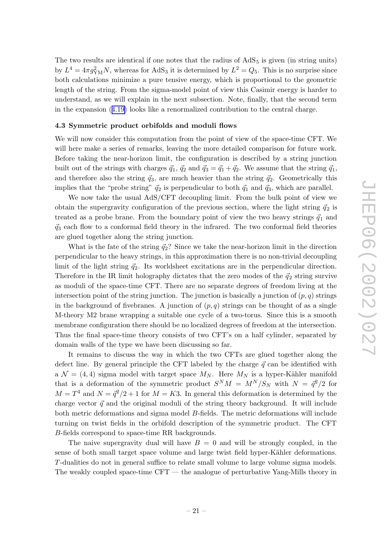<span id="page-21-0"></span>The two results are identical if one notes that the radius of  $AdS_5$  is given (in string units) by  $L^4 = 4\pi g_{\text{YM}}^2 N$ , whereas for AdS<sub>3</sub> it is determined by  $L^2 = Q_5$ . This is no surprise since both calculations minimize a pure tensiv e energy , whic h is proportional to the geometric length of the string. From the sigma-model poin t of view this Casimir energy is harder to understand, as w e will explain in the next subsection. Note, finally , that the second term in the expansion ([4.19](#page-20-0) ) looks lik e a renormalized contribution to the central charge.

## 4.3 Symmetric product orbifolds and moduli flows

We will now consider this computation from the point of view of the space-time CFT. We will here mak e a series of remarks, leaving the more detailed comparison for future work. Before taking the near-horizon limit, the configuration is described by a string junction built out of the strings with charges  $\vec{q}_1$ ,  $\vec{q}_2$  and  $\vec{q}_3 = \vec{q}_1 + \vec{q}_2$ . We assume that the string  $\vec{q}_1$ , and therefore also the string  $\vec{q}_3$ , are much heavier than the string  $\vec{q}_2$ . Geometrically this implies that the "probe string"  $\vec{q}_2$  is perpendicular to both  $\vec{q}_1$  and  $\vec{q}_3$ , which are parallel.

We now take the usual AdS/CFT decoupling limit. From the bulk point of view we obtain the supergravity configuration of the previous section, where the light string  $\vec{q}_2$  is treated as a probe brane. From the boundary point of view the two heavy strings  $\vec{q}_1$  and  $\vec{q}_3$  each flow to a conformal field theory in the infrared. The two conformal field theories are glued together along the string junction.

What is the fate of the string  $\vec{q}_2$ ? Since we take the near-horizon limit in the direction perpendicular to the heavy strings, in this approximation there is no non-trivial decoupling limit of the light string  $\vec{q}_2$ . Its worldsheet excitations are in the perpendicular direction. Therefore in the IR limit holography dictates that the zero modes of the  $\vec{q}_2$  string survive as moduli of the space-time CFT. There are no separate degrees of freedom living at the intersection point of the string junction. The junction is basically a junction of  $(p, q)$  strings in the background of fivebranes. A junction of  $(p, q)$  strings can be thought of as a single M-theory M2 brane wrapping a suitable one cycle of a t wo-torus. Since this is a smooth membrane configuration there should b e no localized degrees of freedom at the intersection. Thus the final space-time theory consists of two CFT's on a half cylinder, separated by domain walls of the typ e w e hav e been discussing so far.

It remains to discuss the w ay in whic h the t w o CFTs are glued together along the defect line. By general principle the CFT labeled by the charge  $\vec{q}$  can be identified with a  $\mathcal{N} = (4, 4)$  sigma model with target space  $M_N$ . Here  $M_N$  is a hyper-Kähler manifold that is a deformation of the symmetric product  $S^{N}M = M^{N}/S_{N}$  with  $N = \bar{q}^{2}/2$  for  $M = T<sup>4</sup>$  and  $N = \frac{\bar{q}^2}{2} + 1$  for  $M = K3$ . In general this deformation is determined by the charge vector  $\vec{q}$  and the original moduli of the string theory background. It will include both metric deformations and sigma model B-fields. The metric deformations will include turning on twist fields in the orbifold description of the symmetric product. The CFT B-fields correspond to space-time RR backgrounds.

The naive supergravity dual will have  $B = 0$  and will be strongly coupled, in the sense of both small target space volume and large twist field hyper-Kähler deformations. T-dualities do not in general suffice to relate small volume to large volume sigma models. The weakly coupled space-time CFT — the analogue of perturbativ e Yang-Mills theory in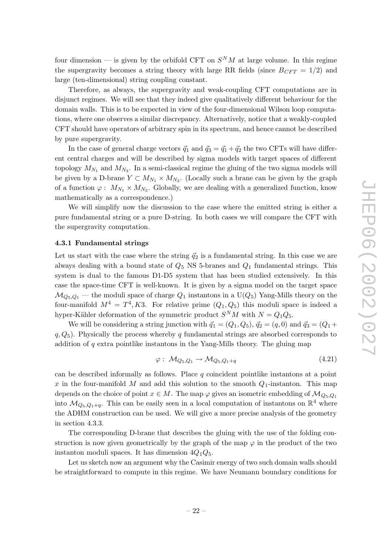<span id="page-22-0"></span>four dimension — is given by the orbifold CFT on  $S^{N}M$  at large volume. In this regime the supergravity becomes a string theory with large RR fields (since  $B_{CFT} = 1/2$ ) and large (ten-dimensional) string coupling constant.

Therefore, as alw ays, the supergravit y and weak-coupling CFT computations are in disjunct regimes. We will see that they indeed giv e qualitatively differen t behaviour for the domain walls. This is to b e expected in view of the four-dimensional Wilson loop computations, where one observes a similar discrepancy. Alternatively, notice that a weakly-coupled CFT should hav e operators of arbitrary spin in its spectrum, and hence cannot b e described b y pure supergravit y .

In the case of general charge vectors  $\vec{q}_1$  and  $\vec{q}_3 = \vec{q}_1 + \vec{q}_2$  the two CFTs will have different central charges and will be described by sigma models with target spaces of different topology  $M_{N_1}$  and  $M_{N_3}$ . In a semi-classical regime the gluing of the two sigma models will be given by a D-brane  $Y \subset M_{N_1} \times M_{N_3}$ . (Locally such a brane can be given by the graph of a function  $\varphi: M_{N_1} \times M_{N_3}$ . Globally, we are dealing with a generalized function, know mathematically as a correspondence.)

We will simplify no w the discussion to the case where the emitted string is either a pure fundamental string or a pure D-string. In both cases w e will compare the CFT with the supergravit y computation.

## 4.3.1 Fundamental strings

Let us start with the case where the string  $\vec{q}_2$  is a fundamental string. In this case we are always dealing with a bound state of  $Q_5$  NS 5-branes and  $Q_1$  fundamental strings. This system is dual to the famous D1-D5 system that has been studied extensively . In this case the space-time CFT is well-known. It is given b y a sigma model on the target space  $\mathcal{M}_{Q_5,Q_1}$  — the moduli space of charge  $Q_1$  instantons in a  $\mathrm{U}(Q_5)$  Yang-Mills theory on the four-manifold  $M^4 = T^4, K3$ . For relative prime  $(Q_1, Q_5)$  this moduli space is indeed a hyper-Kähler deformation of the symmetric product  $S^{N}M$  with  $N = Q_{1}Q_{5}$ .

We will be considering a string junction with  $\vec{q}_1 = (Q_1, Q_5), \, \vec{q}_2 = (q, 0)$  and  $\vec{q}_3 = (Q_1 +$  $q, Q_5$ ). Physically the process whereby q fundamental strings are absorbed corresponds to addition of q extra pointlik e instantons in the Yang-Mills theory . The gluing map

$$
\varphi: \ \mathcal{M}_{Q_5, Q_1} \to \mathcal{M}_{Q_5, Q_1 + q} \tag{4.21}
$$

can be described informally as follows. Place  $q$  coincident pointlike instantons at a point x in the four-manifold M and add this solution to the smooth  $Q_1$ -instanton. This map depends on the choice of point  $x \in M$ . The map  $\varphi$  gives an isometric embedding of  $\mathcal{M}_{Q_5,Q_1}$ into  $\mathcal{M}_{Q_5,Q_1+q}$ . This can be easily seen in a local computation of instantons on  $\mathbb{R}^4$  where the ADHM construction can be used. We will give a more precise analysis of the geometry in section 4.3.3.

The corresponding D-brane that describes the gluing with the use of the folding construction is now given geometrically by the graph of the map  $\varphi$  in the product of the two instanton moduli spaces. It has dimension  $4Q_1Q_5$ .

Let us sketch now an argument why the Casimir energy of two such domain walls should b e straightforward to compute in this regime. We hav e Neumann boundary conditions for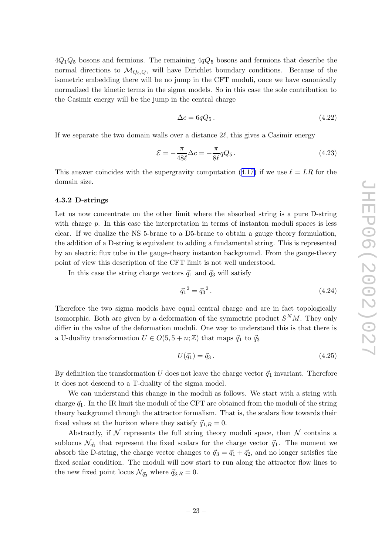<span id="page-23-0"></span> $4Q_1Q_5$  bosons and fermions. The remaining  $4qQ_5$  bosons and fermions that describe the normal directions to  $\mathcal{M}_{Q_5,Q_1}$  will have Dirichlet boundary conditions. Because of the isometric embedding there will be no jump in the CFT moduli, once we have canonically normalized the kinetic terms in the sigma models. So in this case the sole contribution to the Casimir energy will b e the jump in the central charge

$$
\Delta c = 6qQ_5. \tag{4.22}
$$

If we separate the two domain walls over a distance  $2\ell$ , this gives a Casimir energy

$$
\mathcal{E} = -\frac{\pi}{48\ell} \Delta c = -\frac{\pi}{8\ell} qQ_5. \qquad (4.23)
$$

This answer coincides with the supergravity computation ([4.17](#page-20-0)) if we use  $\ell = LR$  for the domain size.

#### 4.3.2 D-strings

Let us no w concentrate on the other limit where the absorbed string is a pure D-string with charge p. In this case the interpretation in terms of instanton moduli spaces is less clear. If w e dualize the NS 5-brane to a D5-brane to obtain a gauge theory formulation, the addition of a D-string is equivalen t to adding a fundamental string. This is represented b y an electric flux tub e in the gauge-theory instanton background. From the gauge-theory poin t of view this description of the CFT limit is not well understo od.

In this case the string charge vectors  $\vec{q}_1$  and  $\vec{q}_3$  will satisfy

$$
\vec{q}_1^2 = \vec{q}_3^2. \tag{4.24}
$$

Therefore the t w o sigma models hav e equal central charge and are in fact topologically isomorphic. Both are given by a deformation of the symmetric product  $S^{N}M$ . They only differ in the value of the deformation moduli. One w ay to understand this is that there is a U-duality transformation  $U \in O(5, 5 + n; \mathbb{Z})$  that maps  $\vec{q}_1$  to  $\vec{q}_3$ 

$$
U(\vec{q}_1) = \vec{q}_3. \tag{4.25}
$$

By definition the transformation U does not leave the charge vector  $\vec{q}_1$  invariant. Therefore it does not descend to a T-dualit y of the sigma model.

We can understand this change in the moduli as follows. We start with a string with charge  $\vec{q}_1$ . In the IR limit the moduli of the CFT are obtained from the moduli of the string theory background through the attractor formalism. That is, the scalars flo w to wards their fixed values at the horizon where they satisfy  $\vec{q}_{1,R} = 0$ .

Abstractly, if  $\mathcal N$  represents the full string theory moduli space, then  $\mathcal N$  contains a sublocus  $\mathcal{N}_{\vec{q}_1}$  that represent the fixed scalars for the charge vector  $\vec{q}_1$ . The moment we absorb the D-string, the charge vector changes to  $\vec{q}_3 = \vec{q}_1 + \vec{q}_2$ , and no longer satisfies the fixed scalar condition. The moduli will now start to run along the attractor flow lines to the new fixed point locus  $\mathcal{N}_{\vec{q}_3}$  where  $\vec{q}_{3,R} = 0$ .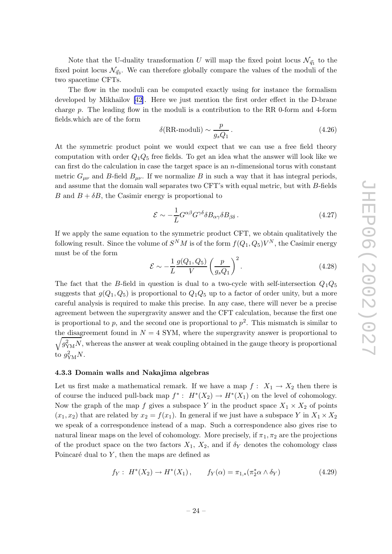<span id="page-24-0"></span>Note that the U-duality transformation U will map the fixed point locus  $\mathcal{N}_{\vec{q}_1}$  to the fixed point locus  $\mathcal{N}_{\vec{q}_3}$ . We can therefore globally compare the values of the moduli of the t w o spacetime CFTs.

The flo w in the moduli can b e computed exactly using for instance the formalism developed b y Mikhailo v [\[42](#page-32-0)]. Here w e just mention the first order effect in the D-brane charge p . The leading flo w in the moduli is a contribution to the RR 0-form and 4-form fields.whic h are of the form

$$
\delta(\text{RR-moduli}) \sim \frac{p}{g_s Q_1} \,. \tag{4.26}
$$

At the symmetric product point we would expect that we can use a free field theory computation with order  $Q_1Q_5$  free fields. To get an idea what the answer will look like we can first do the calculation in case the target space is an n-dimensional torus with constan t metric  $G_{\mu\nu}$  and B-field  $B_{\mu\nu}$ . If we normalize B in such a way that it has integral periods, and assume that the domain wall separates t w o CFT's with equal metric, but with B-fields B and  $B + \delta B$ , the Casimir energy is proportional to

$$
\mathcal{E} \sim -\frac{1}{L} G^{\alpha\beta} G^{\gamma\delta} \delta B_{\alpha\gamma} \delta B_{\beta\delta} \,. \tag{4.27}
$$

If w e apply the same equation to the symmetric product CFT, w e obtain qualitatively the following result. Since the volume of  $S^{N}M$  is of the form  $f(Q_1, Q_5)V^{N}$ , the Casimir energy must b e of the form

$$
\mathcal{E} \sim -\frac{1}{L} \frac{g(Q_1, Q_5)}{V} \left(\frac{p}{g_s Q_1}\right)^2.
$$
\n(4.28)

The fact that the B-field in question is dual to a two-cycle with self-intersection  $Q_1Q_5$ suggests that  $g(Q_1, Q_5)$  is proportional to  $Q_1Q_5$  up to a factor of order unity, but a more careful analysis is required to mak e this precise. In an y case, there will never b e a precise agreemen t bet ween the supergravit y answer and the CFT calculation, because the first one is proportional to p, and the second one is proportional to  $p^2$ . This mismatch is similar to the disagreement found in  $N = 4$  SYM, where the supergravity answer is proportional to  $\sqrt{g_{\rm YM}^2 N}$ , whereas the answer at weak coupling obtained in the gauge theory is proportional to  $g_{\text{YM}}^2 N$ .

## 4.3.3 Domain walls and Nakajima algebras

Let us first make a mathematical remark. If we have a map  $f: X_1 \to X_2$  then there is of course the induced pull-back map  $f^*$ :  $H^*(X_2) \to H^*(X_1)$  on the level of cohomology. Now the graph of the map f gives a subspace Y in the product space  $X_1 \times X_2$  of points  $(x_1, x_2)$  that are related by  $x_2 = f(x_1)$ . In general if we just have a subspace Y in  $X_1 \times X_2$ w e speak of a correspondence instead of a map. Suc h a correspondence also gives rise to natural linear maps on the level of cohomology. More precisely, if  $\pi_1, \pi_2$  are the projections of the product space on the two factors  $X_1$ ,  $X_2$ , and if  $\delta_Y$  denotes the cohomology class Poincaré dual to  $Y$ , then the maps are defined as

$$
f_Y: H^*(X_2) \to H^*(X_1), \qquad f_Y(\alpha) = \pi_{1,*}(\pi_2^* \alpha \wedge \delta_Y) \tag{4.29}
$$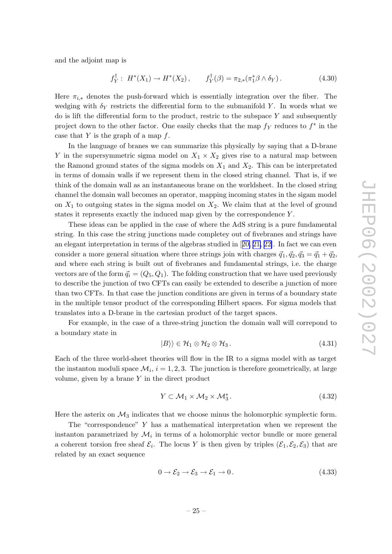<span id="page-25-0"></span>and the adjoin t map is

$$
f_Y^{\dagger}: H^*(X_1) \to H^*(X_2), \qquad f_Y^{\dagger}(\beta) = \pi_{2,*}(\pi_1^* \beta \wedge \delta_Y). \tag{4.30}
$$

Here  $\pi_{i,*}$  denotes the push-forward which is essentially integration over the fiber. The wedging with  $\delta_Y$  restricts the differential form to the submanifold Y. In words what we do is lift the differential form to the product, restric to the subspace Y and subsequently project down to the other factor. One easily checks that the map  $f<sub>Y</sub>$  reduces to  $f<sup>*</sup>$  in the case that  $Y$  is the graph of a map  $f$ .

In the language of branes w e can summarize this physically b y saying that a D-brane Y in the supersymmetric sigma model on  $X_1 \times X_2$  gives rise to a natural map between the Ramond ground states of the sigma models on  $X_1$  and  $X_2$ . This can be interpretated in terms of domain walls if w e represen t them in the closed string channel. That is, if w e think of the domain wall as an instantaneous brane on the worldsheet. In the closed string channel the domain wall becomes an operator, mapping incoming states in the sigam model on  $X_1$  to outgoing states in the sigma model on  $X_2$ . We claim that at the level of ground states it represents exactly the induced map given by the correspondence  $Y$ .

These ideas can b e applied in the case of where the AdS string is a pure fundamental string. In this case the string junctions made completey out of fivebranes and strings hav e an elegant interpretation in terms of the algebras studied in [[20](#page-31-0), [21](#page-31-0), [22\]](#page-31-0). In fact we can even consider a more general situation where three strings join with charges  $\vec{q}_1, \vec{q}_2, \vec{q}_3 = \vec{q}_1 + \vec{q}_2$ , and where eac h string is built out of fivebranes and fundamental strings, i.e. the charge vectors are of the form  $\vec{q}_i = (Q_5, Q_1)$ . The folding construction that we have used previously to describ e the junction of t w o CFTs can easily b e extended to describ e a junction of more than t w o CFTs. In that case the junction conditions are given in terms of a boundary state in the multiple tensor product of the corresponding Hilbert spaces. For sigma models that translates into a D-brane in the cartesian product of the target spaces.

For example, in the case of a three-string junction the domain wall will correpond to a boundary state in

$$
|B\rangle\rangle \in \mathcal{H}_1 \otimes \mathcal{H}_2 \otimes \mathcal{H}_3. \tag{4.31}
$$

Eac h of the three world-sheet theories will flo w in the IR to a sigma model with as target the instanton moduli space  $\mathcal{M}_i$ ,  $i = 1, 2, 3$ . The junction is therefore geometrically, at large volume, given b y a brane Y in the direct product

$$
Y \subset \mathcal{M}_1 \times \mathcal{M}_2 \times \mathcal{M}_3^* \,. \tag{4.32}
$$

Here the asterix on  $\mathcal{M}_3$  indicates that we choose minus the holomorphic symplectic form.

The "correspondence" Y has a mathematical interpretation when w e represen t the instanton parametrized by  $\mathcal{M}_i$  in terms of a holomorphic vector bundle or more general a coherent torsion free sheaf  $\mathcal{E}_i$ . The locus Y is then given by triples  $(\mathcal{E}_1, \mathcal{E}_2, \mathcal{E}_3)$  that are related b y an exact sequence

$$
0 \to \mathcal{E}_2 \to \mathcal{E}_3 \to \mathcal{E}_1 \to 0. \tag{4.33}
$$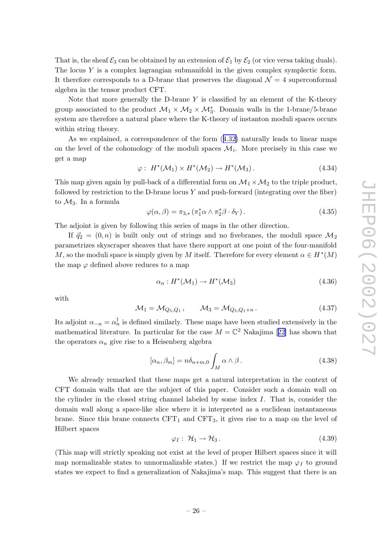<span id="page-26-0"></span>That is, the sheaf  $\mathcal{E}_3$  can be obtained by an extension of  $\mathcal{E}_1$  by  $\mathcal{E}_2$  (or vice versa taking duals). The locus Y is a complex lagrangian submanifold in the given complex symplectic form. It therefore corresponds to a D-brane that preserves the diagonal  $\mathcal{N}=4$  superconformal algebra in the tensor product CFT.

Note that more generally the D-brane  $Y$  is classified by an element of the K-theory group associated to the product  $\mathcal{M}_1 \times \mathcal{M}_2 \times \mathcal{M}_3^*$ . Domain walls in the 1-brane/5-brane system are therefore a natural place where the K-theory of instanton moduli spaces occurs within string theory .

As w e explained, a correspondence of the form ([4.32](#page-25-0) ) naturally leads to linear maps on the level of the cohomology of the moduli spaces  $\mathcal{M}_i$ . More precisely in this case we get a map

$$
\varphi: H^*(\mathcal{M}_1) \times H^*(\mathcal{M}_2) \to H^*(\mathcal{M}_3). \tag{4.34}
$$

This map given again by pull-back of a differential form on  $\mathcal{M}_1 \times \mathcal{M}_2$  to the triple product, followed by restriction to the D-brane locus  $Y$  and push-forward (integrating over the fiber) to  $\mathcal{M}_3$ . In a formula

$$
\varphi(\alpha,\beta) = \pi_{3,*} \left( \pi_1^* \alpha \wedge \pi_2^* \beta \cdot \delta_Y \right). \tag{4.35}
$$

The adjoin t is given b y following this series of maps in the other direction.

If  $\vec{q}_2 = (0, n)$  is built only out of strings and no fivebranes, the moduli space  $\mathcal{M}_2$ parametrizes skyscraper sheaves that hav e there support at one poin t of the four-manifold M, so the moduli space is simply given by M itself. Therefore for every element  $\alpha \in H^*(M)$ the map  $\varphi$  defined above reduces to a map

$$
\alpha_n: H^*(\mathcal{M}_1) \to H^*(\mathcal{M}_3) \tag{4.36}
$$

with

$$
\mathcal{M}_1 = \mathcal{M}_{Q_5, Q_1}, \qquad \mathcal{M}_3 = \mathcal{M}_{Q_5, Q_1 + n}.
$$
 (4.37)

Its adjoint  $\alpha_{-n} = \alpha_n^{\dagger}$  is defined similarly. These maps have been studied extensively in the mathematical literature. In particular for the case  $M = \mathbb{C}^2$  Nakajima [[22](#page-31-0)] has shown that the operators  $\alpha_n$  give rise to a Heisenberg algebra

$$
[\alpha_n, \beta_m] = n \delta_{n+m,0} \int_M \alpha \wedge \beta.
$$
 (4.38)

We already remarked that these maps get a natural interpretation in the context of CFT domain walls that are the subject of this paper. Consider suc h a domain wall on the cylinder in the closed string channel labeled b y some index I . That is, consider the domain wall along a space-lik e slice where it is interpreted as a euclidean instantaneous brane. Since this brane connects  $CFT_1$  and  $CFT_3$ , it gives rise to a map on the level of Hilbert spaces

$$
\varphi_I: \mathcal{H}_1 \to \mathcal{H}_3. \tag{4.39}
$$

(This map will strictly speaking not exist at the level of proper Hilbert spaces since it will map normalizable states to unnormalizable states.) If we restrict the map  $\varphi_I$  to ground states w e expect to find a generalization of Nak ajima's map. This suggest that there is an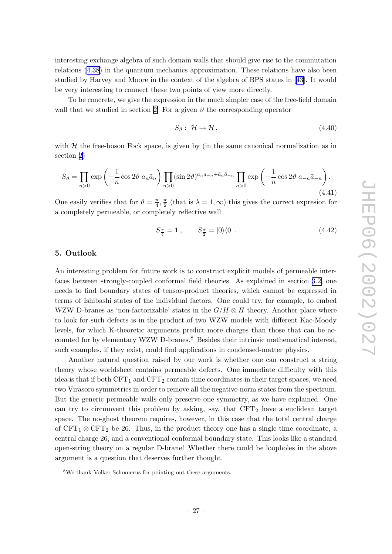<span id="page-27-0"></span>interesting exchange algebra of suc h domain walls that should giv e rise to the commutation relations ([4.38](#page-26-0) ) in the quantum mechanics approximation. These relations hav e also been studied b y Harvey and Moore in the context of the algebra of BPS states in [[43\]](#page-32-0). It would b e very interesting to connect these t w o points of view more directly .

To b e concrete, w e giv e the expression in the muc h simpler case of the free-field domain wall that we studied in section [2](#page-3-0). For a given  $\vartheta$  the corresponding operator

$$
S_{\vartheta}: \mathcal{H} \to \mathcal{H}, \tag{4.40}
$$

with  $H$  the free-boson Fock space, is given by (in the same canonical normalization as in section [2](#page-3-0) )

$$
S_{\vartheta} = \prod_{n>0} \exp\left(-\frac{1}{n}\cos 2\vartheta a_n \bar{a}_n\right) \prod_{n>0} (\sin 2\vartheta)^{a_n a_{-n} + \bar{a}_n \bar{a}_{-n}} \prod_{n>0} \exp\left(-\frac{1}{n}\cos 2\vartheta a_{-n} \bar{a}_{-n}\right).
$$
\n(4.41)

One easily verifies that for  $\vartheta = \frac{\pi}{4}$  $\frac{\pi}{4}, \frac{\pi}{2}$  $\frac{\pi}{2}$  (that is  $\lambda = 1, \infty$ ) this gives the correct expression for a completely permeable, or completely reflectiv e wall

$$
S_{\frac{\pi}{4}} = \mathbf{1}, \qquad S_{\frac{\pi}{2}} = |0\rangle\langle 0| \,. \tag{4.42}
$$

# 5. Outlook

An interesting problem for future work is to construct explicit models of permeable interfaces between strongly-coupled conformal field theories. As explained in section [3.2,](#page-13-0) one needs to find boundary states of tensor-product theories, whic h cannot b e expressed in terms of Ishibashi states of the individual factors. One could try , for example, to em bed WZW D-branes as 'non-factorizable' states in the  $G/H \otimes H$  theory. Another place where to look for such defects is in the product of two WZW models with different Kac-Moody levels, for which K-theoretic arguments predict more charges than those that can be accounted for by elementary WZW D-branes.<sup>8</sup> Besides their intrinsic mathematical interest, suc h examples, if they exist, could find applications in condensed-matter physics.

Another natural question raised b y our work is whether one can construct a string theory whose worldsheet contains permeable defects. One immediate difficult y with this idea is that if both  $CFT_1$  and  $CFT_2$  contain time coordinates in their target spaces, we need two Virasoro symmetries in order to remove all the negative-norm states from the spectrum. But the generic permeable walls only preserv e one symmetry , as w e hav e explained. One can try to circum ven t this problem b y asking, say , that CFT <sup>2</sup> hav e a euclidean target space. The no-ghost theorem requires, ho wever, in this case that the total central charge of  $CFT_1 \otimes CFT_2$  be 26. Thus, in the product theory one has a single time coordinate, a central charge 26, and a con ventional conformal boundary state. This looks lik e a standard open-string theory on a regular D-brane! Whether there could b e loopholes in the ab o v e argumen t is a question that deserves further thought.

<sup>8</sup> We thank Volker Schomerus for pointing out these arguments.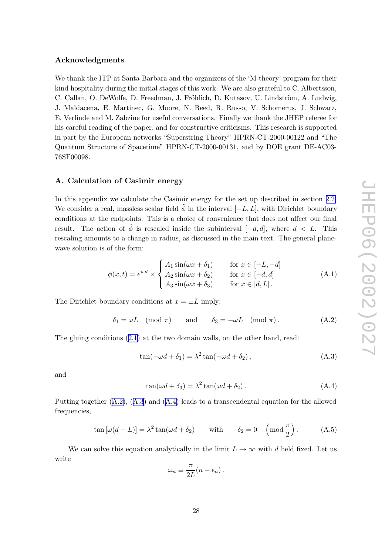## <span id="page-28-0"></span>Acknowledgments

We thank the ITP at Santa Barbara and the organizers of the 'M-theory' program for their kind hospitalit y during the initial stages of this work. We are also grateful to C. Albertsson, C. Callan, O. DeWolfe, D. Freedman, J. Fröhlich, D. Kutasov, U. Lindström, A. Ludwig, J. Maldacena, E. Martinec, G. Moore, N. Reed, R. Russo, V. Schomerus, J. Sc h warz, E. Verlinde and M. Zabzine for useful con versations. Finally w e thank the JHEP referee for his careful reading of the paper, and for constructive criticisms. This research is supported in part b y the European net works "Superstring Theory" HPRN-CT-2000-00122 and "The Quantum Structure of Spacetime" HPRN-CT-2000-00131, and b y DOE gran t DE-AC03- 76SF00098.

## A. Calculation of Casimir energy

In this appendix we calculate the Casimir energy for the set up described in section [2.2](#page-4-0). We consider a real, massless scalar field  $\tilde{\phi}$  in the interval  $[-L, L]$ , with Dirichlet boundary conditions at the endpoints. This is a choice of convenience that does not affect our final result. The action of  $\tilde{\phi}$  is rescaled inside the subinterval  $[-d, d]$ , where  $d < L$ . This rescaling amounts to a change in radius, as discussed in the main text. The general planewave solution is of the form:

$$
\phi(x,t) = e^{i\omega t} \times \begin{cases} A_1 \sin(\omega x + \delta_1) & \text{for } x \in [-L, -d] \\ A_2 \sin(\omega x + \delta_2) & \text{for } x \in [-d, d] \\ A_3 \sin(\omega x + \delta_3) & \text{for } x \in [d, L]. \end{cases}
$$
(A.1)

The Dirichlet boundary conditions at  $x = \pm L$  imply:

$$
\delta_1 = \omega L \pmod{\pi} \quad \text{and} \quad \delta_3 = -\omega L \pmod{\pi}. \tag{A.2}
$$

The gluing conditions ([2.1](#page-3-0) ) at the t w o domain walls, on the other hand, read:

$$
\tan(-\omega d + \delta_1) = \lambda^2 \tan(-\omega d + \delta_2), \qquad (A.3)
$$

and

$$
\tan(\omega d + \delta_3) = \lambda^2 \tan(\omega d + \delta_2). \tag{A.4}
$$

Putting together (A.2), (A.3) and (A.4) leads to a transcendental equation for the allowed frequencies,

$$
\tan\left[\omega(d-L)\right] = \lambda^2 \tan(\omega d + \delta_2) \quad \text{with} \quad \delta_2 = 0 \quad \left(\text{mod } \frac{\pi}{2}\right). \tag{A.5}
$$

We can solve this equation analytically in the limit  $L \to \infty$  with d held fixed. Let us write

$$
\omega_n \equiv \frac{\pi}{2L}(n - \epsilon_n).
$$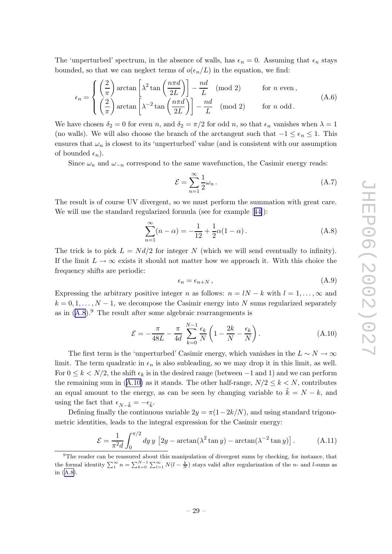<span id="page-29-0"></span>The 'unperturbed' spectrum, in the absence of walls, has  $\epsilon_n = 0$ . Assuming that  $\epsilon_n$  stays bounded, so that we can neglect terms of  $o(\epsilon_n/L)$  in the equation, we find:

$$
\epsilon_n = \begin{cases} \left(\frac{2}{\pi}\right) \arctan\left[\lambda^2 \tan\left(\frac{n\pi d}{2L}\right)\right] - \frac{nd}{L} \pmod{2} & \text{for } n \text{ even,} \\ \left(\frac{2}{\pi}\right) \arctan\left[\lambda^{-2} \tan\left(\frac{n\pi d}{2L}\right)\right] - \frac{nd}{L} \pmod{2} & \text{for } n \text{ odd.} \end{cases}
$$
(A.6)

We have chosen  $\delta_2 = 0$  for even n, and  $\delta_2 = \pi/2$  for odd n, so that  $\epsilon_n$  vanishes when  $\lambda = 1$ (no walls). We will also choose the branch of the arctangent such that  $-1 \leq \epsilon_n \leq 1$ . This ensures that  $\omega_n$  is closest to its 'unperturbed' value (and is consistent with our assumption of bounded  $\epsilon_n$ ).

Since  $\omega_n$  and  $\omega_{-n}$  correspond to the same wavefunction, the Casimir energy reads:

$$
\mathcal{E} = \sum_{n=1}^{\infty} \frac{1}{2} \omega_n \,. \tag{A.7}
$$

The result is of course UV divergent, so w e must perform the summation with great care. We will use the standard regularized formula (see for example [[44\]](#page-32-0)):

$$
\sum_{n=1}^{\infty} (n - \alpha) = -\frac{1}{12} + \frac{1}{2}\alpha(1 - \alpha).
$$
 (A.8)

The trick is to pick  $L = Nd/2$  for integer N (which we will send eventually to infinity). If the limit  $L \to \infty$  exists it should not matter how we approach it. With this choice the frequency shifts are periodic:

$$
\epsilon_n = \epsilon_{n+N} \,, \tag{A.9}
$$

Expressing the arbitrary positive integer *n* as follows:  $n = lN - k$  with  $l = 1, ..., \infty$  and  $k = 0, 1, \ldots, N - 1$ , we decompose the Casimir energy into N sums regularized separately as in (A.8). <sup>9</sup> The result after some algebraic rearrangements is

$$
\mathcal{E} = -\frac{\pi}{48L} - \frac{\pi}{4d} \sum_{k=0}^{N-1} \frac{\epsilon_k}{N} \left( 1 - \frac{2k}{N} - \frac{\epsilon_k}{N} \right). \tag{A.10}
$$

The first term is the 'unperturbed' Casimir energy, which vanishes in the  $L \sim N \to \infty$ limit. The term quadratic in  $\epsilon_n$  is also subleading, so we may drop it in this limit, as well. For  $0 \le k \le N/2$ , the shift  $\epsilon_k$  is in the desired range (between -1 and 1) and we can perform the remaining sum in (A.10) as it stands. The other half-range,  $N/2 \leq k \leq N$ , contributes an equal amount to the energy, as can be seen by changing variable to  $\tilde{k} = N - k$ , and using the fact that  $\epsilon_{N-\tilde{k}} = -\epsilon_{\tilde{k}}$ .

Defining finally the continuous variable  $2y = \pi(1 - 2k/N)$ , and using standard trigonometric identities, leads to the integral expression for the Casimir energy:

$$
\mathcal{E} = \frac{1}{\pi^2 d} \int_0^{\pi/2} dy \, y \, \left[ 2y - \arctan(\lambda^2 \tan y) - \arctan(\lambda^{-2} \tan y) \right]. \tag{A.11}
$$

<sup>&</sup>lt;sup>9</sup>The reader can be reassured about this manipulation of divergent sums by checking, for instance, that the formal identity  $\sum_{1}^{\infty} n = \sum_{k=0}^{N-1} \sum_{l=1}^{\infty} N(l - \frac{k}{N})$  stays valid after regularization of the *n*- and *l*-sums as in (A.8).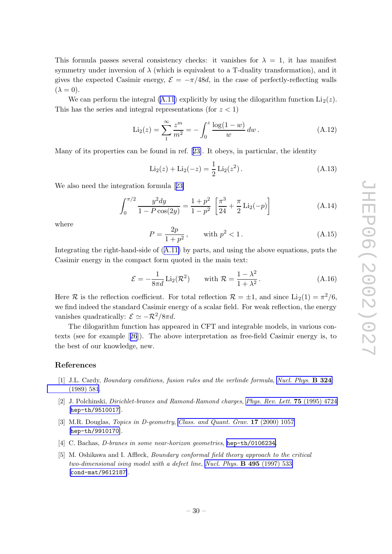<span id="page-30-0"></span>This formula passes several consistency checks: it vanishes for  $\lambda = 1$ , it has manifest symmetry under inversion of  $\lambda$  (which is equivalent to a T-duality transformation), and it gives the expected Casimir energy,  $\mathcal{E} = -\pi/48d$ , in the case of perfectly-reflecting walls  $(\lambda = 0).$ 

We can perform the integral  $(A.11)$  $(A.11)$  explicitly by using the dilogarithm function  $Li_2(z)$ . This has the series and integral representations (for  $z < 1$ )

$$
\text{Li}_2(z) = \sum_{1}^{\infty} \frac{z^m}{m^2} = -\int_0^z \frac{\log(1-w)}{w} \, dw \,. \tag{A.12}
$$

Man y of its properties can b e found in ref. [[23\]](#page-31-0). It obeys, in particular, the identit y

$$
\text{Li}_2(z) + \text{Li}_2(-z) = \frac{1}{2}\text{Li}_2(z^2). \tag{A.13}
$$

We also need the integration formula [[23](#page-31-0) ]

$$
\int_0^{\pi/2} \frac{y^2 dy}{1 - P \cos(2y)} = \frac{1 + p^2}{1 - p^2} \left[ \frac{\pi^3}{24} + \frac{\pi}{2} \text{Li}_2(-p) \right]
$$
 (A.14)

where

$$
P = \frac{2p}{1+p^2}, \qquad \text{with } p^2 < 1. \tag{A.15}
$$

Integrating the right-hand-side of  $(A.11)$  $(A.11)$  $(A.11)$  by parts, and using the above equations, puts the Casimir energy in the compact form quoted in the main text:

$$
\mathcal{E} = -\frac{1}{8\pi d} \operatorname{Li}_2(\mathcal{R}^2) \qquad \text{with } \mathcal{R} = \frac{1 - \lambda^2}{1 + \lambda^2}.
$$
 (A.16)

Here R is the reflection coefficient. For total reflection  $\mathcal{R} = \pm 1$ , and since  $\text{Li}_2(1) = \pi^2/6$ , w e find indeed the standard Casimir energy of a scalar field. For weak reflection, the energy vanishes quadratically:  $\mathcal{E} \simeq -\mathcal{R}^2/8\pi d$ .

The dilogarithm function has appeared in CFT and integrable models, in various contexts (see for example [[26](#page-31-0)]). The above interpretation as free-field Casimir energy is, to the best of our knowledge, new.

# References

- [1] J.L. Cardy, *Boundary conditions, fusion rules and the verlinde formula, Nucl. [Phys.](http://www-spires.slac.stanford.edu/spires/find/hep/www?j=NUPHA%2CB324%2C581)* **B 324** [\(1989\)](http://www-spires.slac.stanford.edu/spires/find/hep/www?j=NUPHA%2CB324%2C581) 581 .
- [2] J. Polchinski, Dirichlet-branes and Ramond-Ramond charges , Phys. Rev. Lett. 75 [\(1995\)](http://www-spires.slac.stanford.edu/spires/find/hep/www?j=PRLTA%2C75%2C4724) 4724 [[hep-th/9510017](http://xxx.lanl.gov/abs/hep-th/9510017)].
- [3] M.R. Douglas, *Topics in D-geometry, Class. and [Quant.](http://www-spires.slac.stanford.edu/spires/find/hep/www?j=CQGRD%2C17%2C1057) Grav.* **17** (2000) 1057 [[hep-th/9910170](http://xxx.lanl.gov/abs/hep-th/9910170)].
- [4] C. Bachas, *D*-branes in some near-horizon geometries, [hep-th/0106234](http://xxx.lanl.gov/abs/hep-th/0106234).
- [5] M. Oshikawa and I. Affleck, *Boundary conformal field theory approach to the critical* two-dimensional ising model with a defect line, Nucl. Phys. **B 495** [\(1997\)](http://www-spires.slac.stanford.edu/spires/find/hep/www?j=NUPHA%2CB495%2C533) 533 [[cond-mat/9612187](http://xxx.lanl.gov/abs/cond-mat/9612187)].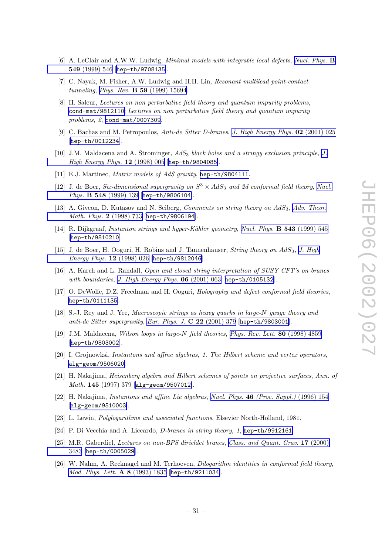- <span id="page-31-0"></span>[6] A. LeClair and A.W.W. Ludwig, *Minimal models with integrable local defects*, *Nucl. [Phys.](http://www-spires.slac.stanford.edu/spires/find/hep/www?j=NUPHA%2CB549%2C546)* **B** 549 [\(1999\)](http://www-spires.slac.stanford.edu/spires/find/hep/www?j=NUPHA%2CB549%2C546) 546 [[hep-th/9708135](http://xxx.lanl.gov/abs/hep-th/9708135)].
- [7] C. Na yak, M. Fisher, A.W. Ludwig and H.H. Lin, Resonant multilead point-contact tunneling, Phys. Rev. **B 59** [\(1999\)](http://www-spires.slac.stanford.edu/spires/find/hep/www?j=PHRVA%2CB59%2C15694) 15694.
- [8] H. Saleur, L ectures on non perturbative field theory and quantum impurity problems , [cond-mat/9812110](http://xxx.lanl.gov/abs/cond-mat/9812110); Lectures on non perturbative field theory and quantum impurity problems, 2, [cond-mat/0007309](http://xxx.lanl.gov/abs/cond-mat/0007309).
- [9] C. Bachas and M. Petropoulos, Anti-de Sitter D-branes, J. High [Energy](http://jhep.sissa.it/stdsearch?paper=02%282001%29025) Phys.  $\mathbf{02}$  (2001) 025 [[hep-th/0012234](http://xxx.lanl.gov/abs/hep-th/0012234)].
- [10] [J.](http://jhep.sissa.it/stdsearch?paper=12%281998%29005)M. Maldacena and A. Strominger,  $AdS_3$  black holes and a stringy exclusion principle, J.  $High Energy Phys. 12 (1998) 005 [hep-th/9804085].$  $High Energy Phys. 12 (1998) 005 [hep-th/9804085].$  $High Energy Phys. 12 (1998) 005 [hep-th/9804085].$  $High Energy Phys. 12 (1998) 005 [hep-th/9804085].$  $High Energy Phys. 12 (1998) 005 [hep-th/9804085].$
- [11] E.J. Martinec, *Matrix models of AdS gravity*, [hep-th/9804111](http://xxx.lanl.gov/abs/hep-th/9804111).
- [12] J. de Boer, Six-dimensional supergravity on  $S^3 \times AdS_3$  and 2d conformal field theory, [Nucl.](http://www-spires.slac.stanford.edu/spires/find/hep/www?j=NUPHA%2CB548%2C139) Phys. **B 548** [\(1999\)](http://www-spires.slac.stanford.edu/spires/find/hep/www?j=NUPHA%2CB548%2C139) 139 [[hep-th/9806104](http://xxx.lanl.gov/abs/hep-th/9806104)].
- [13] A. Giveon, D. Kutasov and N. Seiberg, *Comments on string theory on AdS*<sub>3</sub>, Adv. [Theor.](http://www-spires.slac.stanford.edu/spires/find/hep/www?j=00203%2C2%2C733) Math. Phys. 2 [\(1998\)](http://www-spires.slac.stanford.edu/spires/find/hep/www?j=00203%2C2%2C733) 733 [[hep-th/9806194](http://xxx.lanl.gov/abs/hep-th/9806194)].
- [14] R. Dijkgraaf, Instanton strings and hyper-Kähler geometry, Nucl. Phys.  $\bf{B}$  543 [\(1999\)](http://www-spires.slac.stanford.edu/spires/find/hep/www?j=NUPHA%2CB543%2C545) 545 [[hep-th/9810210](http://xxx.lanl.gov/abs/hep-th/9810210)].
- [15] J. de Boer, H. Ooguri, H. Robins and J. Tannenhauser, *String theory on AdS*<sub>3</sub>, J. [High](http://jhep.sissa.it/stdsearch?paper=12%281998%29026)  $Energy Phys. 12 (1998) 026 [hep-th/9812046].$  $Energy Phys. 12 (1998) 026 [hep-th/9812046].$  $Energy Phys. 12 (1998) 026 [hep-th/9812046].$  $Energy Phys. 12 (1998) 026 [hep-th/9812046].$
- [16] A. Karch and L. Randall, Open and closed string interpretation of SUSY CFT's on branes with boundaries, J. High [Energy](http://jhep.sissa.it/stdsearch?paper=06%282001%29063) Phys. 06 (2001) 063 [[hep-th/0105132](http://xxx.lanl.gov/abs/hep-th/0105132)].
- [17] O. DeWolfe, D.Z. Freedman and H. Ooguri, *Holography and defect conformal field theories*, [hep-th/0111135](http://xxx.lanl.gov/abs/hep-th/0111135) .
- [18] S.-J. Rey and J. Yee, Macroscopic strings as heavy quarks in large-N gauge theory and anti-de Sitter supergravity, Eur. Phys. J.  $C$  22 [\(2001\)](http://www-spires.slac.stanford.edu/spires/find/hep/www?j=EPHJA%2CC22%2C379) 379 [[hep-th/9803001](http://xxx.lanl.gov/abs/hep-th/9803001)].
- [19] J.M. Maldacena, Wilson loops in large-N field theories, Phys. Rev. Lett. 80 [\(1998\)](http://www-spires.slac.stanford.edu/spires/find/hep/www?j=PRLTA%2C80%2C4859) 4859 [[hep-th/9803002](http://xxx.lanl.gov/abs/hep-th/9803002)].
- [20] I. Grojnowksi, Instantons and affine algebras, 1. The Hilbert scheme and vertex operators , [alg-geom/9506020](http://xxx.lanl.gov/abs/alg-geom/9506020) .
- [21] H. Nakajima, *Heisenberg algebra and Hilbert schemes of points on projective surfaces, Ann. of* Math. 145 (1997) 379 [[alg-geom/9507012](http://xxx.lanl.gov/abs/alg-geom/9507012)].
- [22] H. Nakajima, *Instantons and affine Lie algebras, Nucl. Phys.* **46** (*Proc. Suppl.*) (1996) 154 [[alg-geom/9510003](http://xxx.lanl.gov/abs/alg-geom/9510003)].
- [23] L. Lewin, Polylogarithms and associate d functions , Elsevier North-Holland, 1981.
- [24] P. Di Vecchia and A. Liccardo, *D*-branes in string theory, 1, [hep-th/9912161](http://xxx.lanl.gov/abs/hep-th/9912161).
- [25] M.R. Gaberdiel, Lectures on non-BPS dirichlet branes, Class. and [Quant.](http://www-spires.slac.stanford.edu/spires/find/hep/www?j=CQGRD%2C17%2C3483) Grav. 17 (2000) [3483](http://www-spires.slac.stanford.edu/spires/find/hep/www?j=CQGRD%2C17%2C3483) [[hep-th/0005029](http://xxx.lanl.gov/abs/hep-th/0005029)].
- [26] W. Nahm, A. Recknagel and M. Terhoeven, *Dilogarithm identities in conformal field theory*, Mod. Phys. Lett. A 8 [\(1993\)](http://www-spires.slac.stanford.edu/spires/find/hep/www?j=MPLAE%2CA8%2C1835) 1835 [[hep-th/9211034](http://xxx.lanl.gov/abs/hep-th/9211034)].